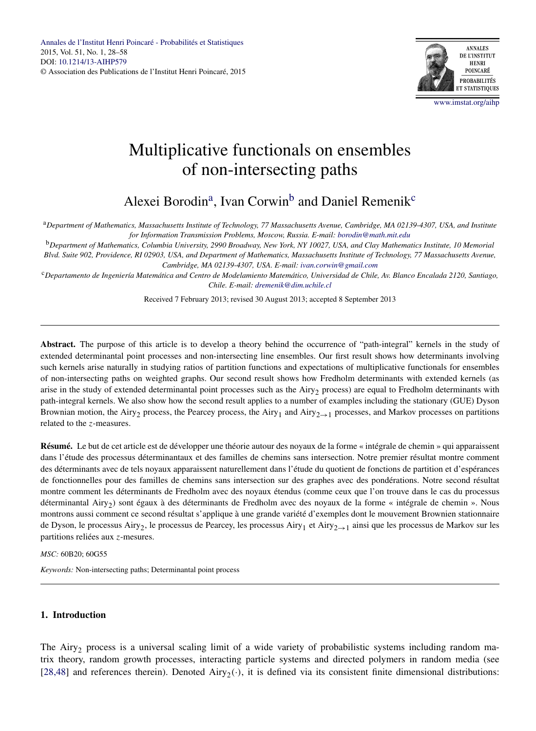

[www.imstat.org/aihp](http://www.imstat.org/aihp)

# <span id="page-0-0"></span>Multiplicative functionals on ensembles of non-intersecting paths

Alexei Borodin<sup>a</sup>, Ivan Corwin<sup>b</sup> and Daniel Remenik<sup>c</sup>

<sup>a</sup>*Department of Mathematics, Massachusetts Institute of Technology, 77 Massachusetts Avenue, Cambridge, MA 02139-4307, USA, and Institute for Information Transmission Problems, Moscow, Russia. E-mail: [borodin@math.mit.edu](mailto:borodin@math.mit.edu)*

<sup>b</sup>*Department of Mathematics, Columbia University, 2990 Broadway, New York, NY 10027, USA, and Clay Mathematics Institute, 10 Memorial Blvd. Suite 902, Providence, RI 02903, USA, and Department of Mathematics, Massachusetts Institute of Technology, 77 Massachusetts Avenue, Cambridge, MA 02139-4307, USA. E-mail: [ivan.corwin@gmail.com](mailto:ivan.corwin@gmail.com)*

<sup>c</sup>*Departamento de Ingeniería Matemática and Centro de Modelamiento Matemático, Universidad de Chile, Av. Blanco Encalada 2120, Santiago, Chile. E-mail: [dremenik@dim.uchile.cl](mailto:dremenik@dim.uchile.cl)*

Received 7 February 2013; revised 30 August 2013; accepted 8 September 2013

**Abstract.** The purpose of this article is to develop a theory behind the occurrence of "path-integral" kernels in the study of extended determinantal point processes and non-intersecting line ensembles. Our first result shows how determinants involving such kernels arise naturally in studying ratios of partition functions and expectations of multiplicative functionals for ensembles of non-intersecting paths on weighted graphs. Our second result shows how Fredholm determinants with extended kernels (as arise in the study of extended determinantal point processes such as the Airy<sub>2</sub> process) are equal to Fredholm determinants with path-integral kernels. We also show how the second result applies to a number of examples including the stationary (GUE) Dyson Brownian motion, the Airy<sub>2</sub> process, the Pearcey process, the Airy<sub>1</sub> and Airy<sub>2→1</sub> processes, and Markov processes on partitions related to the *z*-measures.

**Résumé.** Le but de cet article est de développer une théorie autour des noyaux de la forme « intégrale de chemin » qui apparaissent dans l'étude des processus déterminantaux et des familles de chemins sans intersection. Notre premier résultat montre comment des déterminants avec de tels noyaux apparaissent naturellement dans l'étude du quotient de fonctions de partition et d'espérances de fonctionnelles pour des familles de chemins sans intersection sur des graphes avec des pondérations. Notre second résultat montre comment les déterminants de Fredholm avec des noyaux étendus (comme ceux que l'on trouve dans le cas du processus déterminantal Airy<sub>2</sub>) sont égaux à des déterminants de Fredholm avec des noyaux de la forme « intégrale de chemin ». Nous montrons aussi comment ce second résultat s'applique à une grande variété d'exemples dont le mouvement Brownien stationnaire de Dyson, le processus Airy<sub>2</sub>, le processus de Pearcey, les processus Airy<sub>1</sub> et Airy<sub>2→1</sub> ainsi que les processus de Markov sur les partitions reliées aux *z*-mesures.

*MSC:* 60B20; 60G55

*Keywords:* Non-intersecting paths; Determinantal point process

# **1. Introduction**

The Airy<sub>2</sub> process is a universal scaling limit of a wide variety of probabilistic systems including random matrix theory, random growth processes, interacting particle systems and directed polymers in random media (see [\[28,48\]](#page-29-0) and references therein). Denoted Airy<sub>2</sub>( $\cdot$ ), it is defined via its consistent finite dimensional distributions: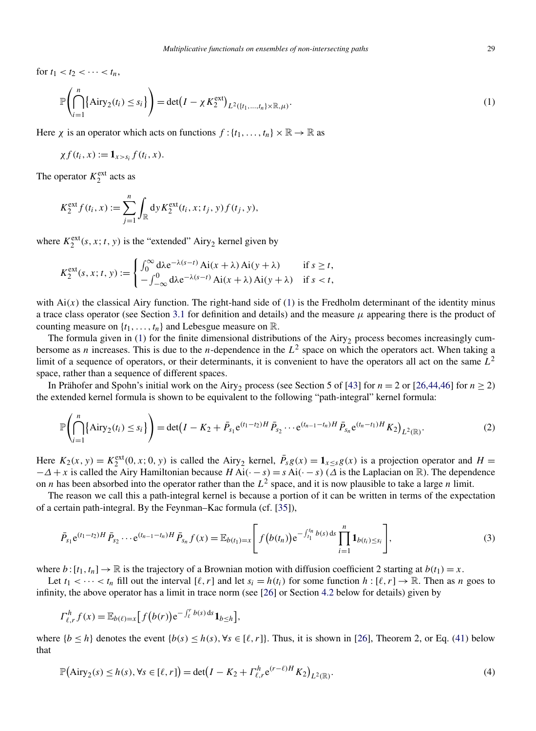<span id="page-1-0"></span>for  $t_1 < t_2 < \cdots < t_n$ ,

$$
\mathbb{P}\left(\bigcap_{i=1}^n\{\text{Airy}_2(t_i)\leq s_i\}\right)=\det(I-\chi K_2^{\text{ext}})_{L^2(\{t_1,\ldots,t_n\}\times\mathbb{R},\mu)}.\tag{1}
$$

Here *χ* is an operator which acts on functions  $f: \{t_1, \ldots, t_n\} \times \mathbb{R} \to \mathbb{R}$  as

$$
\chi f(t_i,x):=\mathbf{1}_{x>s_i}f(t_i,x).
$$

The operator  $K_2^{\text{ext}}$  acts as

$$
K_2^{\text{ext}} f(t_i, x) := \sum_{j=1}^n \int_{\mathbb{R}} dy K_2^{\text{ext}}(t_i, x; t_j, y) f(t_j, y),
$$

where  $K_2^{\text{ext}}(s, x; t, y)$  is the "extended" Airy<sub>2</sub> kernel given by

$$
K_2^{\text{ext}}(s, x; t, y) := \begin{cases} \int_0^\infty \mathrm{d}\lambda e^{-\lambda(s-t)} \, \mathrm{Ai}(x+\lambda) \, \mathrm{Ai}(y+\lambda) & \text{if } s \ge t, \\ -\int_{-\infty}^0 \mathrm{d}\lambda e^{-\lambda(s-t)} \, \mathrm{Ai}(x+\lambda) \, \mathrm{Ai}(y+\lambda) & \text{if } s < t, \end{cases}
$$

with  $Ai(x)$  the classical Airy function. The right-hand side of (1) is the Fredholm determinant of the identity minus a trace class operator (see Section [3.1](#page-11-0) for definition and details) and the measure *μ* appearing there is the product of counting measure on  $\{t_1, \ldots, t_n\}$  and Lebesgue measure on  $\mathbb{R}$ .

The formula given in (1) for the finite dimensional distributions of the  $Airy<sub>2</sub>$  process becomes increasingly cumbersome as *n* increases. This is due to the *n*-dependence in the  $L^2$  space on which the operators act. When taking a limit of a sequence of operators, or their determinants, it is convenient to have the operators all act on the same *L*<sup>2</sup> space, rather than a sequence of different spaces.

In Prähofer and Spohn's initial work on the Airy<sub>2</sub> process (see Section 5 of [\[43\]](#page-29-0) for  $n = 2$  or [\[26,44,46\]](#page-29-0) for  $n \ge 2$ ) the extended kernel formula is shown to be equivalent to the following "path-integral" kernel formula:

$$
\mathbb{P}\left(\bigcap_{i=1}^{n}\left\{\text{Airy}_{2}(t_{i})\leq s_{i}\right\}\right)=\det\left(I-K_{2}+\bar{P}_{s_{1}}e^{(t_{1}-t_{2})H}\bar{P}_{s_{2}}\cdots e^{(t_{n-1}-t_{n})H}\bar{P}_{s_{n}}e^{(t_{n}-t_{1})H}K_{2}\right)_{L^{2}(\mathbb{R})}.
$$
\n(2)

Here  $K_2(x, y) = K_2^{\text{ext}}(0, x; 0, y)$  is called the Airy<sub>2</sub> kernel,  $\bar{P}_s g(x) = \mathbf{1}_{x \le s} g(x)$  is a projection operator and  $H =$  $\Delta$  + *x* is called the Airy Hamiltonian because *H* Ai( $\cdot$  – *s*) = *s* Ai( $\cdot$  – *s*) ( $\Delta$  is the Laplacian on R). The dependence on *n* has been absorbed into the operator rather than the  $L^2$  space, and it is now plausible to take a large *n* limit.

The reason we call this a path-integral kernel is because a portion of it can be written in terms of the expectation of a certain path-integral. By the Feynman–Kac formula (cf. [\[35\]](#page-29-0)),

$$
\bar{P}_{s_1}e^{(t_1-t_2)H}\bar{P}_{s_2}\cdots e^{(t_{n-1}-t_n)H}\bar{P}_{s_n}f(x)=\mathbb{E}_{b(t_1)=x}\Bigg[ f\big(b(t_n)\big)e^{-\int_{t_1}^{t_n}b(s)\,ds}\prod_{i=1}^n\mathbf{1}_{b(t_i)\leq s_i}\Bigg],\tag{3}
$$

where  $b: [t_1, t_n] \to \mathbb{R}$  is the trajectory of a Brownian motion with diffusion coefficient 2 starting at  $b(t_1) = x$ .

Let  $t_1 < \cdots < t_n$  fill out the interval  $[\ell, r]$  and let  $s_i = h(t_i)$  for some function  $h : [\ell, r] \to \mathbb{R}$ . Then as *n* goes to infinity, the above operator has a limit in trace norm (see [\[26\]](#page-29-0) or Section [4.2](#page-20-0) below for details) given by

$$
\Gamma_{\ell,r}^h f(x) = \mathbb{E}_{b(\ell)=x} \Big[ f(b(r)) e^{-\int_{\ell}^r b(s) ds} \mathbf{1}_{b \leq h} \Big],
$$

where  ${b < h}$  denotes the event  ${b(s) \le h(s), \forall s \in [\ell, r]}$ . Thus, it is shown in [\[26\]](#page-29-0), Theorem 2, or Eq. [\(41\)](#page-21-0) below that

$$
\mathbb{P}(\text{Airy}_2(s) \le h(s), \forall s \in [\ell, r]) = \det(I - K_2 + \Gamma_{\ell, r}^h e^{(r-\ell)H} K_2)_{L^2(\mathbb{R})}.
$$
\n(4)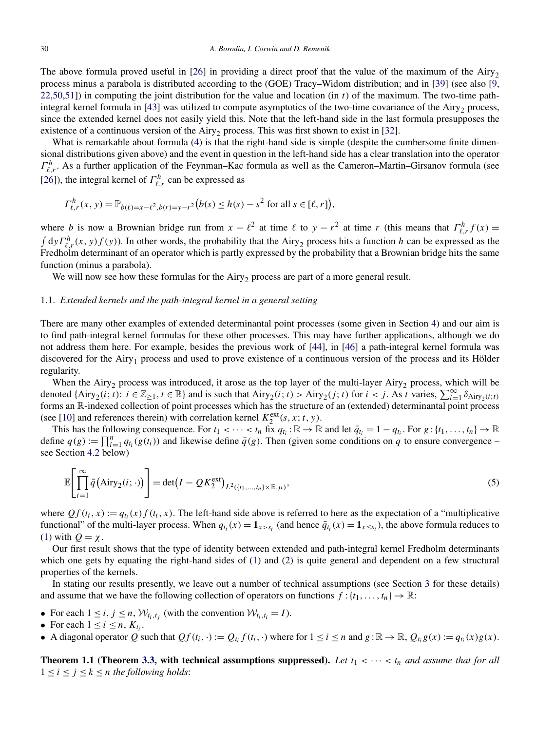<span id="page-2-0"></span>The above formula proved useful in [\[26\]](#page-29-0) in providing a direct proof that the value of the maximum of the Airy<sub>2</sub> process minus a parabola is distributed according to the (GOE) Tracy–Widom distribution; and in [\[39\]](#page-29-0) (see also [\[9,](#page-29-0) [22,50,51\]](#page-29-0)) in computing the joint distribution for the value and location (in *t*) of the maximum. The two-time pathintegral kernel formula in  $[43]$  was utilized to compute asymptotics of the two-time covariance of the Airy<sub>2</sub> process, since the extended kernel does not easily yield this. Note that the left-hand side in the last formula presupposes the existence of a continuous version of the Airy<sub>2</sub> process. This was first shown to exist in [\[32\]](#page-29-0).

What is remarkable about formula [\(4\)](#page-1-0) is that the right-hand side is simple (despite the cumbersome finite dimensional distributions given above) and the event in question in the left-hand side has a clear translation into the operator  $\Gamma^h_{\ell,r}$ . As a further application of the Feynman–Kac formula as well as the Cameron–Martin–Girsanov formula (see [\[26\]](#page-29-0)), the integral kernel of  $\Gamma^h_{\ell,r}$  can be expressed as

$$
\Gamma_{\ell,r}^h(x, y) = \mathbb{P}_{b(\ell)=x-\ell^2, b(r)=y-r^2} (b(s) \le h(s) - s^2 \text{ for all } s \in [\ell, r]),
$$

where *b* is now a Brownian bridge run from  $x - \ell^2$  at time  $\ell$  to  $y - r^2$  at time *r* (this means that  $\Gamma^h_{\ell,r} f(x) = \int d\mathbf{v} \Gamma^h_{\ell,r}(x, \mathbf{v}) f(\mathbf{v})$ ). In other words, the probability that the Airv<sub>2</sub> process hits a  $dy \Gamma_{\ell,r}^h(x, y) f(y)$ ). In other words, the probability that the Airy<sub>2</sub> process hits a function *h* can be expressed as the Fredholm determinant of an operator which is partly expressed by the probability that a Brownian bridge hits the same function (minus a parabola).

We will now see how these formulas for the  $Airy<sub>2</sub>$  process are part of a more general result.

## 1.1. *Extended kernels and the path-integral kernel in a general setting*

There are many other examples of extended determinantal point processes (some given in Section [4\)](#page-17-0) and our aim is to find path-integral kernel formulas for these other processes. This may have further applications, although we do not address them here. For example, besides the previous work of [\[44\]](#page-30-0), in [\[46\]](#page-30-0) a path-integral kernel formula was discovered for the Airy<sub>1</sub> process and used to prove existence of a continuous version of the process and its Hölder regularity.

When the Airy<sub>2</sub> process was introduced, it arose as the top layer of the multi-layer Airy<sub>2</sub> process, which will be denoted  $\{Airy_2(i; t): i \in \mathbb{Z}_{\geq 1}, t \in \mathbb{R}\}$  and is such that  $Airy_2(i; t) > Airy_2(j; t)$  for  $i < j$ . As *t* varies,  $\sum_{i=1}^{\infty} \delta_{Airy_2(i; t)}$ forms an R-indexed collection of point processes which has the structure of an (extended) determinantal point process (see [\[10\]](#page-29-0) and references therein) with correlation kernel  $K_2^{\text{ext}}(s, x; t, y)$ .

This has the following consequence. For  $t_1 < \cdots < t_n$  fix  $q_t$ :  $\mathbb{R} \to \mathbb{R}$  and let  $\bar{q}_{t_i} = 1 - q_t$ . For  $g: \{t_1, \ldots, t_n\} \to \mathbb{R}$ define  $q(g) := \prod_{i=1}^n q_{t_i}(g(t_i))$  and likewise define  $\bar{q}(g)$ . Then (given some conditions on  $\bar{q}$  to ensure convergence – see Section [4.2](#page-20-0) below)

$$
\mathbb{E}\left[\prod_{i=1}^{\infty}\bar{q}(\text{Airy}_{2}(i;\cdot))\right]=\det(I-QK_{2}^{\text{ext}})_{L^{2}(\lbrace t_{1},...,t_{n}\rbrace \times \mathbb{R},\mu)},\tag{5}
$$

where  $Qf(t_i, x) := q_{t_i}(x) f(t_i, x)$ . The left-hand side above is referred to here as the expectation of a "multiplicative" functional" of the multi-layer process. When  $q_{t_i}(x) = \mathbf{1}_{x>s_i}$  (and hence  $\bar{q}_{t_i}(x) = \mathbf{1}_{x \le s_i}$ ), the above formula reduces to [\(1\)](#page-1-0) with *Q* = *χ*.

Our first result shows that the type of identity between extended and path-integral kernel Fredholm determinants which one gets by equating the right-hand sides of [\(1\)](#page-1-0) and [\(2\)](#page-1-0) is quite general and dependent on a few structural properties of the kernels.

In stating our results presently, we leave out a number of technical assumptions (see Section [3](#page-10-0) for these details) and assume that we have the following collection of operators on functions  $f : \{t_1, \ldots, t_n\} \to \mathbb{R}$ :

- For each  $1 \le i, j \le n, W_{t_i,t_j}$  (with the convention  $W_{t_i,t_i} = I$ ).
- For each  $1 \leq i \leq n$ ,  $K_{t_i}$ .
- A diagonal operator *Q* such that  $Qf(t_i, \cdot) := Q_{t_i} f(t_i, \cdot)$  where for  $1 \le i \le n$  and  $g : \mathbb{R} \to \mathbb{R}$ ,  $Q_{t_i} g(x) := q_{t_i}(x)g(x)$ .

**Theorem 1.1 (Theorem [3.3,](#page-13-0) with technical assumptions suppressed).** Let  $t_1 < \cdots < t_n$  and assume that for all  $1 \leq i \leq j \leq k \leq n$  *the following holds*: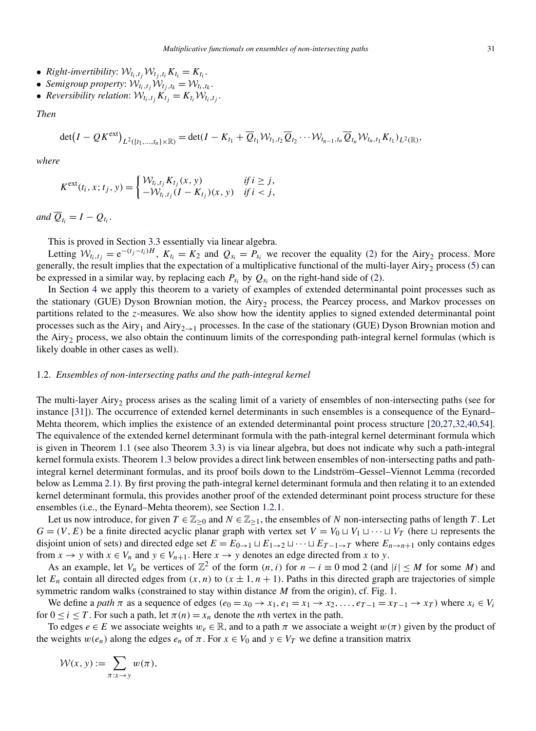- *Right-invertibility:*  $W_{t_i,t_i}W_{t_i,t_i}K_{t_i}=K_{t_i}$ .
- *Semigroup property:*  $W_{t_i,t_i}W_{t_i,t_k} = W_{t_i,t_k}$ .
- *Reversibility relation:*  $W_{t_i,t_j}K_{t_j}=K_{t_i}W_{t_i,t_j}$ .

*Then*

$$
\det(I-QK^{\text{ext}})_{L^2({t_1,...,t_n})\times\mathbb{R})}=\det(I-K_{t_1}+\overline{Q}_{t_1}\mathcal{W}_{t_1,t_2}\overline{Q}_{t_2}\cdots\mathcal{W}_{t_{n-1},t_n}\overline{Q}_{t_n}\mathcal{W}_{t_n,t_1}K_{t_1})_{L^2(\mathbb{R})},
$$

*where*

$$
K^{\text{ext}}(t_i, x; t_j, y) = \begin{cases} \mathcal{W}_{t_i, t_j} K_{t_j}(x, y) & \text{if } i \geq j, \\ -\mathcal{W}_{t_i, t_j}(I - K_{t_j})(x, y) & \text{if } i < j, \end{cases}
$$

*and*  $\overline{Q}_t = I - Q_t$ .

This is proved in Section [3.3](#page-13-0) essentially via linear algebra.

Letting  $W_{t_i,t_j} = e^{-(t_j-t_i)H}$ ,  $K_{t_i} = K_2$  and  $Q_{s_i} = P_{s_i}$  we recover the equality [\(2\)](#page-1-0) for the Airy<sub>2</sub> process. More generally, the result implies that the expectation of a multiplicative functional of the multi-layer Airy<sub>2</sub> process [\(5\)](#page-2-0) can be expressed in a similar way, by replacing each  $P_{s_i}$  by  $Q_{s_i}$  on the right-hand side of [\(2\)](#page-1-0).

In Section [4](#page-17-0) we apply this theorem to a variety of examples of extended determinantal point processes such as the stationary (GUE) Dyson Brownian motion, the Airy<sub>2</sub> process, the Pearcey process, and Markov processes on partitions related to the *z*-measures. We also show how the identity applies to signed extended determinantal point processes such as the Airy<sub>1</sub> and Airy<sub>2→1</sub> processes. In the case of the stationary (GUE) Dyson Brownian motion and the Airy<sub>2</sub> process, we also obtain the continuum limits of the corresponding path-integral kernel formulas (which is likely doable in other cases as well).

# 1.2. *Ensembles of non-intersecting paths and the path-integral kernel*

The multi-layer Airy<sub>2</sub> process arises as the scaling limit of a variety of ensembles of non-intersecting paths (see for instance [\[31\]](#page-29-0)). The occurrence of extended kernel determinants in such ensembles is a consequence of the Eynard– Mehta theorem, which implies the existence of an extended determinantal point process structure [\[20,27,32,40,54\]](#page-29-0). The equivalence of the extended kernel determinant formula with the path-integral kernel determinant formula which is given in Theorem [1.1](#page-2-0) (see also Theorem [3.3\)](#page-13-0) is via linear algebra, but does not indicate why such a path-integral kernel formula exists. Theorem [1.3](#page-5-0) below provides a direct link between ensembles of non-intersecting paths and pathintegral kernel determinant formulas, and its proof boils down to the Lindström–Gessel–Viennot Lemma (recorded below as Lemma [2.1\)](#page-7-0). By first proving the path-integral kernel determinant formula and then relating it to an extended kernel determinant formula, this provides another proof of the extended determinant point process structure for these ensembles (i.e., the Eynard–Mehta theorem), see Section [1.2.1.](#page-5-0)

Let us now introduce, for given  $T \in \mathbb{Z}_{\geq 0}$  and  $N \in \mathbb{Z}_{\geq 1}$ , the ensembles of *N* non-intersecting paths of length *T*. Let  $G = (V, E)$  be a finite directed acyclic planar graph with vertex set  $V = V_0 \sqcup V_1 \sqcup \cdots \sqcup V_T$  (here  $\sqcup$  represents the disjoint union of sets) and directed edge set  $E = E_{0\to 1} \sqcup E_{1\to 2} \sqcup \cdots \sqcup E_{T-1\to T}$  where  $E_{n\to n+1}$  only contains edges from  $x \to y$  with  $x \in V_n$  and  $y \in V_{n+1}$ . Here  $x \to y$  denotes an edge directed from x to y.

As an example, let  $V_n$  be vertices of  $\mathbb{Z}^2$  of the form  $(n, i)$  for  $n - i \equiv 0 \mod 2$  (and  $|i| \leq M$  for some *M*) and let  $E_n$  contain all directed edges from  $(x, n)$  to  $(x \pm 1, n + 1)$ . Paths in this directed graph are trajectories of simple symmetric random walks (constrained to stay within distance *M* from the origin), cf. Fig. [1.](#page-4-0)

We define a *path*  $\pi$  as a sequence of edges  $(e_0 = x_0 \rightarrow x_1, e_1 = x_1 \rightarrow x_2, \ldots, e_{T-1} = x_{T-1} \rightarrow x_T)$  where  $x_i \in V_i$ for  $0 \le i \le T$ . For such a path, let  $\pi(n) = x_n$  denote the *n*th vertex in the path.

To edges  $e \in E$  we associate weights  $w_e \in \mathbb{R}$ , and to a path  $\pi$  we associate a weight  $w(\pi)$  given by the product of the weights  $w(e_n)$  along the edges  $e_n$  of  $\pi$ . For  $x \in V_0$  and  $y \in V_T$  we define a transition matrix

$$
\mathcal{W}(x, y) := \sum_{\pi: x \to y} w(\pi),
$$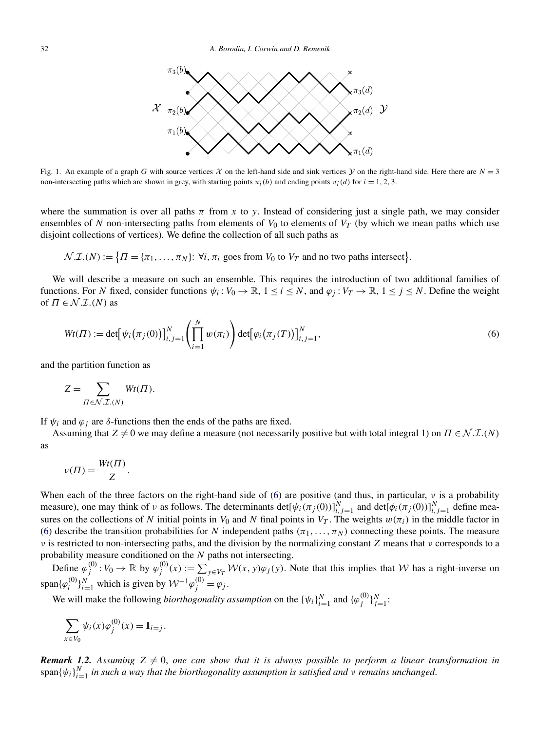<span id="page-4-0"></span>

Fig. 1. An example of a graph *G* with source vertices  $\mathcal X$  on the left-hand side and sink vertices  $\mathcal Y$  on the right-hand side. Here there are  $N = 3$ non-intersecting paths which are shown in grey, with starting points  $\pi_i(b)$  and ending points  $\pi_i(d)$  for  $i = 1, 2, 3$ .

where the summation is over all paths  $\pi$  from  $x$  to  $y$ . Instead of considering just a single path, we may consider ensembles of N non-intersecting paths from elements of  $V_0$  to elements of  $V_T$  (by which we mean paths which use disjoint collections of vertices). We define the collection of all such paths as

 $\mathcal{N}.I.(N) := \{ \Pi = \{ \pi_1, \ldots, \pi_N \}: \forall i, \pi_i \text{ goes from } V_0 \text{ to } V_T \text{ and no two paths intersect} \}.$ 

We will describe a measure on such an ensemble. This requires the introduction of two additional families of functions. For *N* fixed, consider functions  $\psi_i : V_0 \to \mathbb{R}$ ,  $1 \le i \le N$ , and  $\varphi_j : V_T \to \mathbb{R}$ ,  $1 \le j \le N$ . Define the weight of  $\Pi \in \mathcal{N}.\mathcal{I}.(N)$  as

$$
Wt(\Pi) := \det[\psi_i(\pi_j(0))]_{i,j=1}^N \left(\prod_{i=1}^N w(\pi_i)\right) \det[\varphi_i(\pi_j(T))]_{i,j=1}^N,
$$
\n(6)

and the partition function as

$$
Z = \sum_{\Pi \in \mathcal{N}.\mathcal{I}.\langle N\rangle} Wt(\Pi).
$$

If  $ψ<sub>i</sub>$  and  $φ<sub>j</sub>$  are *δ*-functions then the ends of the paths are fixed.

Assuming that  $Z \neq 0$  we may define a measure (not necessarily positive but with total integral 1) on  $\Pi \in \mathcal{N} \mathcal{I} \mathcal{I} \mathcal{N}$ as

$$
\nu(\Pi) = \frac{Wt(\Pi)}{Z}.
$$

When each of the three factors on the right-hand side of (6) are positive (and thus, in particular, *ν* is a probability measure), one may think of *ν* as follows. The determinants det $[\psi_i(\pi_j(0))]_{i,j=1}^N$  and det $[\phi_i(\pi_j(0))]_{i,j=1}^N$  define measures on the collections of *N* initial points in  $V_0$  and *N* final points in  $V_T$ . The weights  $w(\pi_i)$  in the middle factor in (6) describe the transition probabilities for *N* independent paths  $(\pi_1, \ldots, \pi_N)$  connecting these points. The measure *ν* is restricted to non-intersecting paths, and the division by the normalizing constant *Z* means that *ν* corresponds to a probability measure conditioned on the *N* paths not intersecting.

Define  $\varphi_j^{(0)}: V_0 \to \mathbb{R}$  by  $\varphi_j^{(0)}(x) := \sum_{y \in V_T} \mathcal{W}(x, y) \varphi_j(y)$ . Note that this implies that W has a right-inverse on  $\text{span}\{\varphi_i^{(0)}\}_{i=1}^N$  which is given by  $\mathcal{W}^{-1}\varphi_j^{(0)} = \varphi_j$ .

We will make the following *biorthogonality assumption* on the  $\{\psi_i\}_{i=1}^N$  and  $\{\varphi_j^{(0)}\}_{j=1}^N$ :

$$
\sum_{x \in V_0} \psi_i(x) \varphi_j^{(0)}(x) = \mathbf{1}_{i=j}.
$$

**Remark 1.2.** Assuming  $Z \neq 0$ , one can show that it is always possible to perform a linear transformation in  $\text{span}\{\psi_i\}_{i=1}^N$  *in such a way that the biorthogonality assumption is satisfied and v remains unchanged.*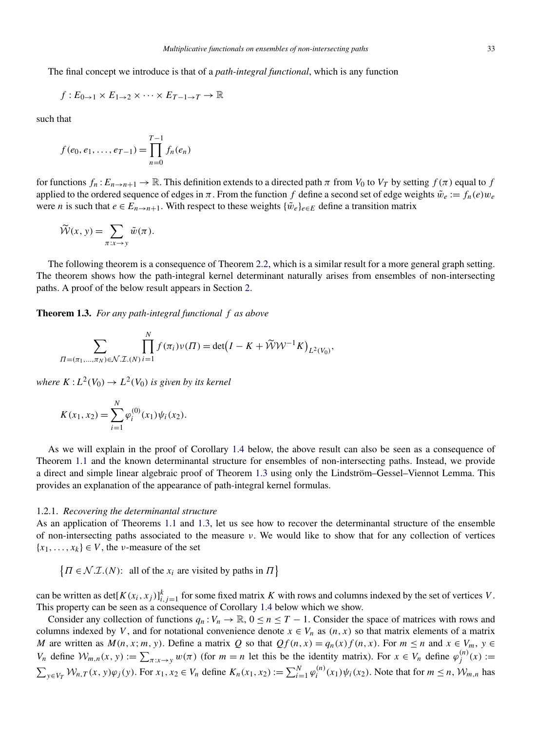<span id="page-5-0"></span>The final concept we introduce is that of a *path-integral functional*, which is any function

$$
f: E_{0\to 1} \times E_{1\to 2} \times \cdots \times E_{T-1\to T} \to \mathbb{R}
$$

such that

$$
f(e_0, e_1, \ldots, e_{T-1}) = \prod_{n=0}^{T-1} f_n(e_n)
$$

for functions  $f_n: E_{n\to n+1} \to \mathbb{R}$ . This definition extends to a directed path  $\pi$  from  $V_0$  to  $V_T$  by setting  $f(\pi)$  equal to  $f$ applied to the ordered sequence of edges in  $\pi$ . From the function f define a second set of edge weights  $\tilde{w}_e := f_n(e)w_e$ were *n* is such that  $e \in E_{n \to n+1}$ . With respect to these weights  $\{\tilde{w}_e\}_{e \in E}$  define a transition matrix

$$
\widetilde{\mathcal{W}}(x, y) = \sum_{\pi: x \to y} \widetilde{w}(\pi).
$$

The following theorem is a consequence of Theorem [2.2,](#page-8-0) which is a similar result for a more general graph setting. The theorem shows how the path-integral kernel determinant naturally arises from ensembles of non-intersecting paths. A proof of the below result appears in Section [2.](#page-6-0)

**Theorem 1.3.** *For any path-integral functional f as above*

$$
\sum_{\Pi = (\pi_1, ..., \pi_N) \in \mathcal{N}} \prod_{i=1}^N f(\pi_i) \nu(\Pi) = \det(I - K + \widetilde{\mathcal{W}} \mathcal{W}^{-1} K)_{L^2(V_0)},
$$

*where*  $K: L^2(V_0) \to L^2(V_0)$  *is given by its kernel* 

$$
K(x_1, x_2) = \sum_{i=1}^{N} \varphi_i^{(0)}(x_1) \psi_i(x_2).
$$

As we will explain in the proof of Corollary [1.4](#page-6-0) below, the above result can also be seen as a consequence of Theorem [1.1](#page-2-0) and the known determinantal structure for ensembles of non-intersecting paths. Instead, we provide a direct and simple linear algebraic proof of Theorem 1.3 using only the Lindström–Gessel–Viennot Lemma. This provides an explanation of the appearance of path-integral kernel formulas.

## 1.2.1. *Recovering the determinantal structure*

As an application of Theorems [1.1](#page-2-0) and 1.3, let us see how to recover the determinantal structure of the ensemble of non-intersecting paths associated to the measure *ν*. We would like to show that for any collection of vertices  ${x_1, \ldots, x_k} \in V$ , the *v*-measure of the set

 $\{ \Pi \in \mathcal{N}.\mathcal{I}.(N)$ : all of the *x<sub>i</sub>* are visited by paths in  $\Pi \}$ 

can be written as  $\det[K(x_i, x_j)]_{i,j=1}^k$  for some fixed matrix *K* with rows and columns indexed by the set of vertices *V*. This property can be seen as a consequence of Corollary [1.4](#page-6-0) below which we show.

Consider any collection of functions  $q_n: V_n \to \mathbb{R}$ ,  $0 \le n \le T - 1$ . Consider the space of matrices with rows and columns indexed by *V*, and for notational convenience denote  $x \in V_n$  as  $(n, x)$  so that matrix elements of a matrix *M* are written as  $M(n, x; m, y)$ . Define a matrix *Q* so that  $Qf(n, x) = q_n(x)f(n, x)$ . For  $m \le n$  and  $x \in V_m$ ,  $y \in V_m$ *V<sub>n</sub>* define  $W_{m,n}(x, y) := \sum_{\pi: x \to y} w(\pi)$  (for  $m = n$  let this be the identity matrix). For  $x \in V_n$  define  $\varphi_j^{(n)}(x) :=$  $\sum_{y \in V_T} W_{n,T}(x, y)\varphi_j(y)$ . For  $x_1, x_2 \in V_n$  define  $K_n(x_1, x_2) := \sum_{i=1}^N \varphi_i^{(n)}(x_1)\psi_i(x_2)$ . Note that for  $m \le n$ ,  $W_{m,n}$  has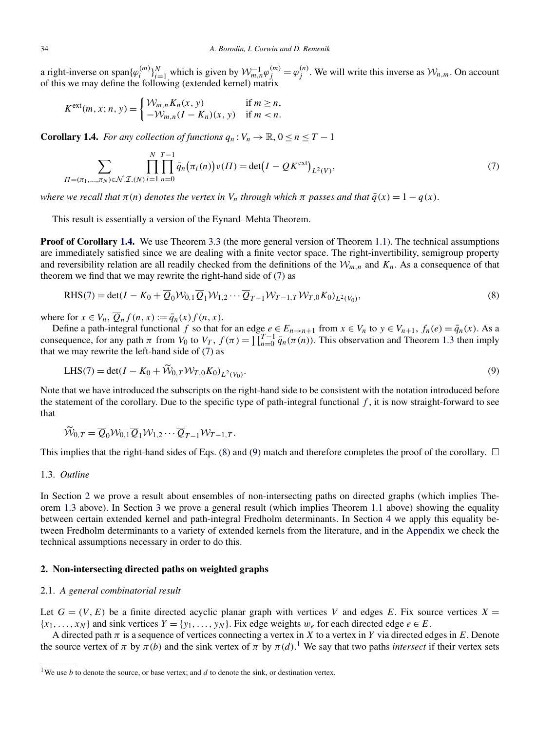<span id="page-6-0"></span>a right-inverse on span $\{\varphi_i^{(m)}\}_{i=1}^N$  which is given by  $\mathcal{W}_{m,n}^{-1}\varphi_j^{(m)} = \varphi_j^{(n)}$ . We will write this inverse as  $\mathcal{W}_{n,m}$ . On account of this we may define the following (extended kernel) matrix

$$
K^{\text{ext}}(m, x; n, y) = \begin{cases} \mathcal{W}_{m,n} K_n(x, y) & \text{if } m \ge n, \\ -\mathcal{W}_{m,n} (I - K_n)(x, y) & \text{if } m < n. \end{cases}
$$

**Corollary 1.4.** *For any collection of functions*  $q_n : V_n \to \mathbb{R}, 0 \le n \le T - 1$ 

$$
\sum_{\Pi = (\pi_1, \dots, \pi_N) \in \mathcal{N}} \prod_{i=1}^N \prod_{n=0}^{T-1} \bar{q}_n(\pi_i(n)) \nu(\Pi) = \det(I - QK^{\text{ext}})_{L^2(V)},\tag{7}
$$

*where we recall that*  $\pi(n)$  *denotes the vertex in*  $V_n$  *through which*  $\pi$  *passes and that*  $\bar{q}(x) = 1 - q(x)$ .

This result is essentially a version of the Eynard–Mehta Theorem.

**Proof of Corollary 1.4.** We use Theorem [3.3](#page-13-0) (the more general version of Theorem [1.1\)](#page-2-0). The technical assumptions are immediately satisfied since we are dealing with a finite vector space. The right-invertibility, semigroup property and reversibility relation are all readily checked from the definitions of the  $W_{m,n}$  and  $K_n$ . As a consequence of that theorem we find that we may rewrite the right-hand side of (7) as

$$
RHS(7) = det(I - K_0 + \overline{Q}_0 W_{0,1} \overline{Q}_1 W_{1,2} \cdots \overline{Q}_{T-1} W_{T-1,T} W_{T,0} K_0)_{L^2(V_0)},
$$
\n(8)

where for  $x \in V_n$ ,  $\overline{Q}_n f(n, x) := \overline{q}_n(x) f(n, x)$ .

Define a path-integral functional *f* so that for an edge  $e \in E_{n \to n+1}$  from  $x \in V_n$  to  $y \in V_{n+1}$ ,  $f_n(e) = \bar{q}_n(x)$ . As a consequence, for any path  $\pi$  from  $V_0$  to  $V_T$ ,  $f(\pi) = \prod_{n=0}^{T-1} \bar{q}_n(\pi(n))$ . This observation and Theorem [1.3](#page-5-0) then imply that we may rewrite the left-hand side of (7) as

$$
LHS(7) = det(I - K_0 + W_{0,T}W_{T,0}K_0)_{L^2(V_0)}.
$$
\n(9)

Note that we have introduced the subscripts on the right-hand side to be consistent with the notation introduced before the statement of the corollary. Due to the specific type of path-integral functional  $f$ , it is now straight-forward to see that

$$
\widetilde{\mathcal{W}}_{0,T} = \overline{Q}_0 \mathcal{W}_{0,1} \overline{Q}_1 \mathcal{W}_{1,2} \cdots \overline{Q}_{T-1} \mathcal{W}_{T-1,T}.
$$

This implies that the right-hand sides of Eqs. (8) and (9) match and therefore completes the proof of the corollary.  $\Box$ 

## 1.3. *Outline*

In Section 2 we prove a result about ensembles of non-intersecting paths on directed graphs (which implies Theorem [1.3](#page-5-0) above). In Section [3](#page-10-0) we prove a general result (which implies Theorem [1.1](#page-2-0) above) showing the equality between certain extended kernel and path-integral Fredholm determinants. In Section [4](#page-17-0) we apply this equality between Fredholm determinants to a variety of extended kernels from the literature, and in the [Appendix](#page-25-0) we check the technical assumptions necessary in order to do this.

## **2. Non-intersecting directed paths on weighted graphs**

## 2.1. *A general combinatorial result*

Let  $G = (V, E)$  be a finite directed acyclic planar graph with vertices V and edges E. Fix source vertices  $X =$  ${x_1, \ldots, x_N}$  and sink vertices  $Y = {y_1, \ldots, y_N}$ . Fix edge weights  $w_e$  for each directed edge  $e \in E$ .

A directed path  $\pi$  is a sequence of vertices connecting a vertex in *X* to a vertex in *Y* via directed edges in *E*. Denote the source vertex of  $\pi$  by  $\pi(b)$  and the sink vertex of  $\pi$  by  $\pi(d)$ .<sup>1</sup> We say that two paths *intersect* if their vertex sets

<sup>&</sup>lt;sup>1</sup>We use *b* to denote the source, or base vertex; and  $d$  to denote the sink, or destination vertex.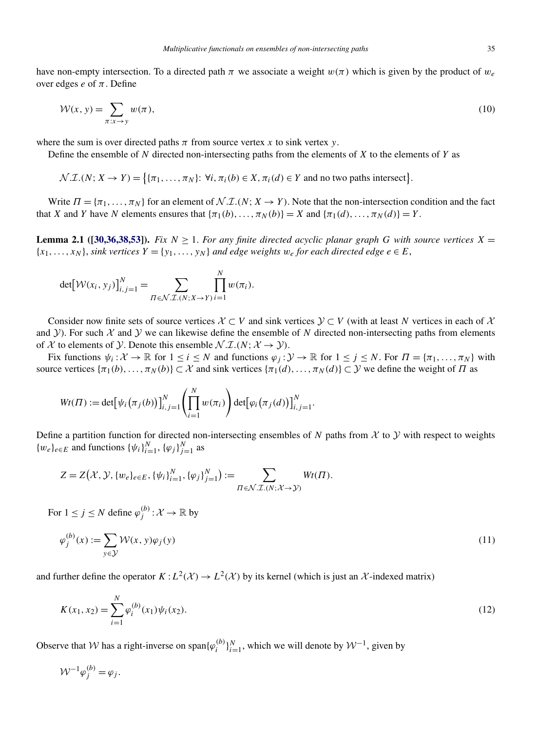<span id="page-7-0"></span>have non-empty intersection. To a directed path  $\pi$  we associate a weight  $w(\pi)$  which is given by the product of  $w_e$ over edges *e* of *π*. Define

$$
\mathcal{W}(x, y) = \sum_{\pi: x \to y} w(\pi), \tag{10}
$$

where the sum is over directed paths  $\pi$  from source vertex  $x$  to sink vertex  $y$ .

Define the ensemble of *N* directed non-intersecting paths from the elements of *X* to the elements of *Y* as

 $\mathcal{N}.\mathcal{I}.(N; X \to Y) = \big\{ \{\pi_1, \ldots, \pi_N\}: \forall i, \pi_i(b) \in X, \pi_i(d) \in Y \text{ and no two paths intersect} \big\}.$ 

Write  $\Pi = {\pi_1, \ldots, \pi_N}$  for an element of  $\mathcal{N} \mathcal{I} \mathcal{I} \mathcal{N}$ ;  $X \to Y$ ). Note that the non-intersection condition and the fact that *X* and *Y* have *N* elements ensures that  $\{\pi_1(b), \ldots, \pi_N(b)\} = X$  and  $\{\pi_1(d), \ldots, \pi_N(d)\} = Y$ .

**Lemma 2.1** ([\[30,36,38,53\]](#page-29-0)). *Fix*  $N \geq 1$ . *For any finite directed acyclic planar graph G with source vertices*  $X =$  ${x_1, \ldots, x_N}$ , *sink vertices*  $Y = {y_1, \ldots, y_N}$  *and edge weights*  $w_e$  *for each directed edge*  $e \in E$ ,

$$
\det[\mathcal{W}(x_i, y_j)]_{i,j=1}^N = \sum_{\Pi \in \mathcal{N}.\mathcal{I}.\langle N; X \rightarrow Y \rangle} \prod_{i=1}^N w(\pi_i).
$$

Consider now finite sets of source vertices  $X \subset V$  and sink vertices  $Y \subset V$  (with at least N vertices in each of X and Y). For such  $X$  and Y we can likewise define the ensemble of N directed non-intersecting paths from elements of X to elements of Y. Denote this ensemble  $\mathcal{N} \mathcal{I} \times (N; \mathcal{X} \rightarrow \mathcal{Y})$ .

Fix functions  $\psi_i : \mathcal{X} \to \mathbb{R}$  for  $1 \le i \le N$  and functions  $\varphi_i : \mathcal{Y} \to \mathbb{R}$  for  $1 \le i \le N$ . For  $\Pi = {\pi_1, \dots, \pi_N}$  with source vertices  $\{\pi_1(b), \ldots, \pi_N(b)\}\subset \mathcal{X}$  and sink vertices  $\{\pi_1(d), \ldots, \pi_N(d)\}\subset \mathcal{Y}$  we define the weight of *Π* as

$$
Wt(\Pi) := \det[\psi_i(\pi_j(b))]_{i,j=1}^N \left(\prod_{i=1}^N w(\pi_i)\right) \det[\varphi_i(\pi_j(d))]_{i,j=1}^N.
$$

Define a partition function for directed non-intersecting ensembles of *N* paths from  $X$  to  $Y$  with respect to weights  $\{w_e\}_{e \in E}$  and functions  $\{\psi_i\}_{i=1}^N$ ,  $\{\varphi_j\}_{j=1}^N$  as

$$
Z = Z(\mathcal{X}, \mathcal{Y}, \{w_e\}_{e \in E}, \{\psi_i\}_{i=1}^N, \{\varphi_j\}_{j=1}^N) := \sum_{\Pi \in \mathcal{N}, \mathcal{I}, (N; \mathcal{X} \to \mathcal{Y})} Wt(\Pi).
$$

For  $1 \leq j \leq N$  define  $\varphi_j^{(b)} : \mathcal{X} \to \mathbb{R}$  by

$$
\varphi_j^{(b)}(x) := \sum_{y \in \mathcal{Y}} \mathcal{W}(x, y)\varphi_j(y) \tag{11}
$$

and further define the operator  $K : L^2(\mathcal{X}) \to L^2(\mathcal{X})$  by its kernel (which is just an X-indexed matrix)

$$
K(x_1, x_2) = \sum_{i=1}^{N} \varphi_i^{(b)}(x_1) \psi_i(x_2).
$$
 (12)

Observe that W has a right-inverse on span $\{\varphi_i^{(b)}\}_{i=1}^N$ , which we will denote by  $\mathcal{W}^{-1}$ , given by

$$
W^{-1}\varphi_j^{(b)} = \varphi_j.
$$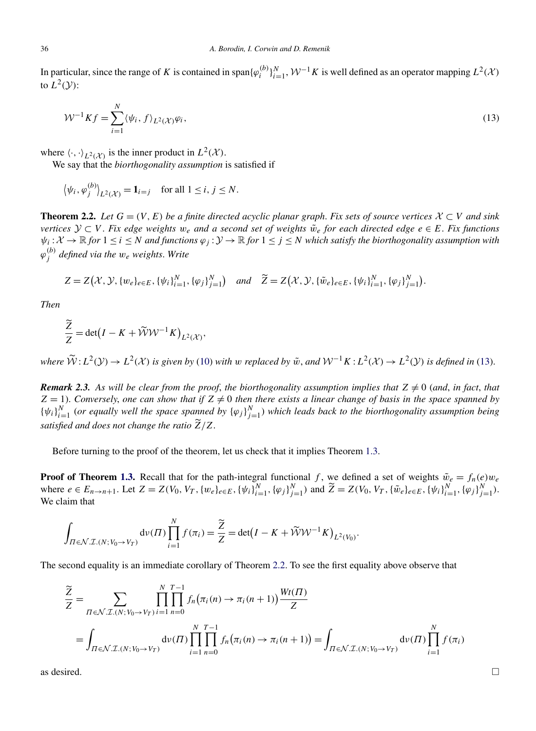<span id="page-8-0"></span>In particular, since the range of *K* is contained in span $\{\varphi_i^{(b)}\}_{i=1}^N$ ,  $\mathcal{W}^{-1}K$  is well defined as an operator mapping  $L^2(\mathcal{X})$ to  $L^2(Y)$ :

$$
\mathcal{W}^{-1} K f = \sum_{i=1}^{N} \langle \psi_i, f \rangle_{L^2(\mathcal{X})} \varphi_i,
$$
\n(13)

where  $\langle \cdot, \cdot \rangle_{L^2(\mathcal{X})}$  is the inner product in  $L^2(\mathcal{X})$ .

We say that the *biorthogonality assumption* is satisfied if

$$
\langle \psi_i, \varphi_j^{(b)} \rangle_{L^2(\mathcal{X})} = \mathbf{1}_{i=j}
$$
 for all  $1 \le i, j \le N$ .

**Theorem 2.2.** *Let*  $G = (V, E)$  *be a finite directed acyclic planar graph. Fix sets of source vertices*  $X \subset V$  *and sink vertices*  $\mathcal{Y} \subset V$ . Fix edge weights  $w_e$  and a second set of weights  $\tilde{w}_e$  for each directed edge  $e \in E$ . Fix functions  $\psi_i : \mathcal{X} \to \mathbb{R}$  *for*  $1 \le i \le N$  *and functions*  $\varphi_i : \mathcal{Y} \to \mathbb{R}$  *for*  $1 \le j \le N$  *which satisfy the biorthogonality assumption with ϕ(b) <sup>j</sup> defined via the we weights*. *Write*

$$
Z = Z(\mathcal{X}, \mathcal{Y}, \{w_e\}_{e \in E}, \{\psi_i\}_{i=1}^N, \{\varphi_j\}_{j=1}^N) \quad \text{and} \quad \widetilde{Z} = Z(\mathcal{X}, \mathcal{Y}, \{\tilde{w}_e\}_{e \in E}, \{\psi_i\}_{i=1}^N, \{\varphi_j\}_{j=1}^N).
$$

*Then*

$$
\frac{\widetilde{Z}}{Z} = \det(I - K + \widetilde{W}W^{-1}K)_{L^2(\mathcal{X})},
$$

where  $\widetilde{W}: L^2(\mathcal{Y}) \to L^2(\mathcal{X})$  is given by [\(10\)](#page-7-0) with w replaced by  $\tilde{w}$ , and  $W^{-1}K: L^2(\mathcal{X}) \to L^2(\mathcal{Y})$  is defined in (13).

*Remark 2.3.* As will be clear from the proof, the biorthogonality assumption implies that  $Z \neq 0$  (and, in fact, that  $Z = 1$ ). *Conversely, one can show that if*  $Z \neq 0$  *then there exists a linear change of basis in the space spanned by*  $\{\psi_i\}_{i=1}^N$  (or equally well the space spanned by  $\{\varphi_j\}_{j=1}^N$ ) which leads back to the biorthogonality assumption being *satisfied and does not change the ratio*  $\widetilde{Z}/Z$ .

Before turning to the proof of the theorem, let us check that it implies Theorem [1.3.](#page-5-0)

**Proof of Theorem [1.3.](#page-5-0)** Recall that for the path-integral functional *f*, we defined a set of weights  $\tilde{w}_e = f_n(e)w_e$ where  $e \in E_{n \to n+1}$ . Let  $Z = Z(V_0, V_T, \{w_e\}_{e \in E}, \{\psi_i\}_{i=1}^N, \{\varphi_j\}_{j=1}^N)$  and  $\widetilde{Z} = Z(V_0, V_T, \{\tilde{w}_e\}_{e \in E}, \{\psi_i\}_{i=1}^N, \{\varphi_j\}_{j=1}^N)$ . We claim that

$$
\int_{\Pi \in \mathcal{N}.\mathcal{I}.(N;V_0 \to V_T)} \mathrm{d}\nu(\Pi) \prod_{i=1}^N f(\pi_i) = \frac{\widetilde{Z}}{Z} = \det(I - K + \widetilde{\mathcal{W}}\mathcal{W}^{-1}K)_{L^2(V_0)}.
$$

The second equality is an immediate corollary of Theorem 2.2. To see the first equality above observe that

$$
\frac{\widetilde{Z}}{Z} = \sum_{\Pi \in \mathcal{N} : \mathcal{I} : (N; V_0 \to V_T)} \prod_{i=1}^N \prod_{n=0}^{T-1} f_n(\pi_i(n) \to \pi_i(n+1)) \frac{Wt(T)}{Z}
$$
\n
$$
= \int_{\Pi \in \mathcal{N} : \mathcal{I} : (N; V_0 \to V_T)} \mathrm{d}\nu(\Pi) \prod_{i=1}^N \prod_{n=0}^{T-1} f_n(\pi_i(n) \to \pi_i(n+1)) = \int_{\Pi \in \mathcal{N} : \mathcal{I} : (N; V_0 \to V_T)} \mathrm{d}\nu(\Pi) \prod_{i=1}^N f(\pi_i)
$$

as desired.  $\Box$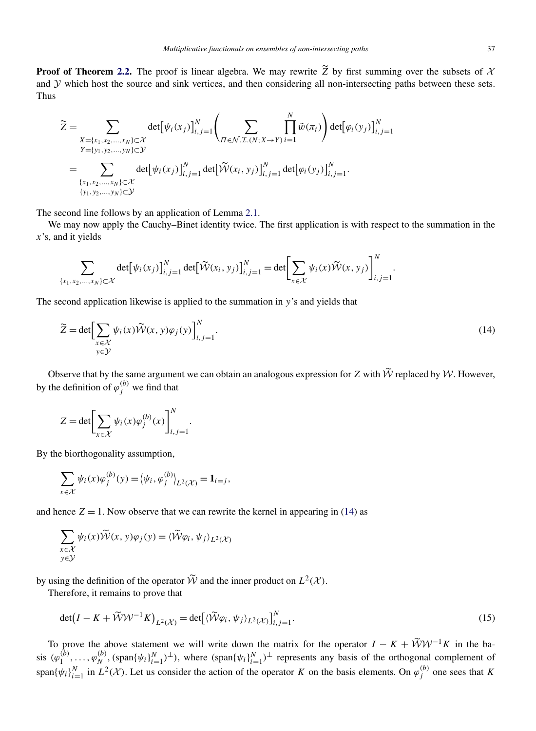<span id="page-9-0"></span>**Proof of Theorem [2.2.](#page-8-0)** The proof is linear algebra. We may rewrite *Z* by first summing over the subsets of  $\lambda$ and Y which host the source and sink vertices, and then considering all non-intersecting paths between these sets. Thus

$$
\widetilde{Z} = \sum_{\substack{X = \{x_1, x_2, \dots, x_N\} \subset \mathcal{X} \\ Y = \{y_1, y_2, \dots, y_N\} \subset \mathcal{Y}}} \det[\psi_i(x_j)]_{i,j=1}^N \left( \sum_{\substack{\Pi \in \mathcal{N} \mathcal{I} \cup \{X, Y, Y\} \\ \Pi \in \mathcal{N} \mathcal{I} \cup \{X\} \\ \{\{x_1, x_2, \dots, x_N\} \subset \mathcal{X}\}}} \prod_{i=1}^N \widetilde{w}(\pi_i) \right) \det[\varphi_i(y_j)]_{i,j=1}^N
$$
\n
$$
= \sum_{\substack{\{x_1, x_2, \dots, x_N\} \subset \mathcal{X} \\ \{y_1, y_2, \dots, y_N\} \subset \mathcal{Y}}} \det[\psi_i(x_j)]_{i,j=1}^N \det[\widetilde{\mathcal{W}}(x_i, y_j)]_{i,j=1}^N \det[\varphi_i(y_j)]_{i,j=1}^N.
$$

The second line follows by an application of Lemma [2.1.](#page-7-0)

We may now apply the Cauchy–Binet identity twice. The first application is with respect to the summation in the *x*'s, and it yields

$$
\sum_{\{x_1, x_2, \dots, x_N\} \subset \mathcal{X}} \det[\psi_i(x_j)]_{i,j=1}^N \det[\widetilde{\mathcal{W}}(x_i, y_j)]_{i,j=1}^N = \det \left[\sum_{x \in \mathcal{X}} \psi_i(x) \widetilde{\mathcal{W}}(x, y_j)\right]_{i,j=1}^N.
$$

The second application likewise is applied to the summation in *y*'s and yields that

$$
\widetilde{Z} = \det \Biggl[\sum_{\substack{x \in \mathcal{X} \\ y \in \mathcal{Y}}} \psi_i(x) \widetilde{\mathcal{W}}(x, y) \varphi_j(y) \Biggr]_{i,j=1}^N.
$$
\n(14)

Observe that by the same argument we can obtain an analogous expression for *Z* with  $\widetilde{W}$  replaced by *W*. However, by the definition of  $\varphi_j^{(b)}$  we find that

$$
Z = \det \left[ \sum_{x \in \mathcal{X}} \psi_i(x) \varphi_j^{(b)}(x) \right]_{i,j=1}^N.
$$

By the biorthogonality assumption,

$$
\sum_{x \in \mathcal{X}} \psi_i(x) \varphi_j^{(b)}(y) = \langle \psi_i, \varphi_j^{(b)} \rangle_{L^2(\mathcal{X})} = \mathbf{1}_{i=j},
$$

and hence  $Z = 1$ . Now observe that we can rewrite the kernel in appearing in (14) as

$$
\sum_{\substack{x \in \mathcal{X} \\ y \in \mathcal{Y}}} \psi_i(x) \widetilde{\mathcal{W}}(x, y) \varphi_j(y) = \langle \widetilde{\mathcal{W}} \varphi_i, \psi_j \rangle_{L^2(\mathcal{X})}
$$

by using the definition of the operator  $\widetilde{\mathcal{W}}$  and the inner product on  $L^2(\mathcal{X})$ .

Therefore, it remains to prove that

$$
\det(I - K + \widetilde{\mathcal{W}}\mathcal{W}^{-1}K)_{L^2(\mathcal{X})} = \det[\langle \widetilde{\mathcal{W}}\varphi_i, \psi_j \rangle_{L^2(\mathcal{X})}]_{i,j=1}^N.
$$
\n(15)

To prove the above statement we will write down the matrix for the operator  $I - K + \widetilde{W}W^{-1}K$  in the basis  $(\varphi_1^{(b)}, \ldots, \varphi_N^{(b)}, (\text{span}\{\psi_i\}_{i=1}^N)^{\perp})$ , where  $(\text{span}\{\psi_i\}_{i=1}^N)^{\perp}$  represents any basis of the orthogonal complement of span $\{\psi_i\}_{i=1}^N$  in  $L^2(\mathcal{X})$ . Let us consider the action of the operator *K* on the basis elements. On  $\varphi_j^{(b)}$  one sees that *K*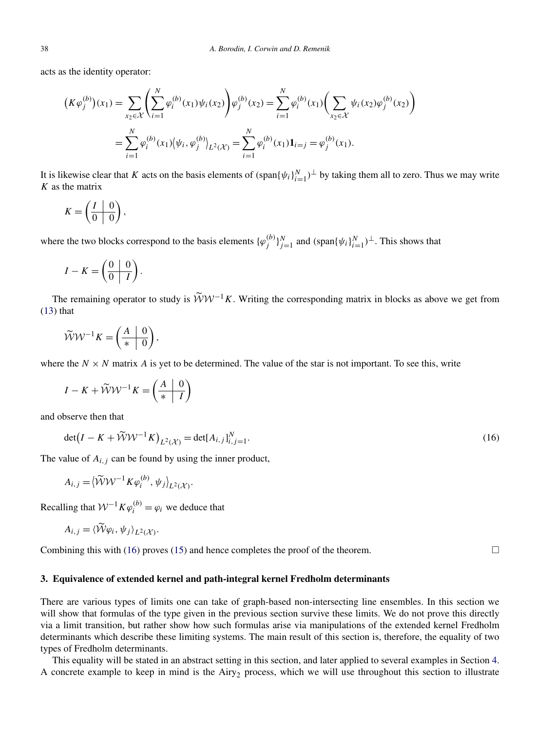<span id="page-10-0"></span>acts as the identity operator:

$$
(K\varphi_j^{(b)})(x_1) = \sum_{x_2 \in \mathcal{X}} \left( \sum_{i=1}^N \varphi_i^{(b)}(x_1) \psi_i(x_2) \right) \varphi_j^{(b)}(x_2) = \sum_{i=1}^N \varphi_i^{(b)}(x_1) \left( \sum_{x_2 \in \mathcal{X}} \psi_i(x_2) \varphi_j^{(b)}(x_2) \right)
$$
  
= 
$$
\sum_{i=1}^N \varphi_i^{(b)}(x_1) \left( \psi_i, \varphi_j^{(b)} \right)_{L^2(\mathcal{X})} = \sum_{i=1}^N \varphi_i^{(b)}(x_1) \mathbf{1}_{i=j} = \varphi_j^{(b)}(x_1).
$$

It is likewise clear that *K* acts on the basis elements of  $(\text{span}\{\psi_i\}_{i=1}^N)$ <sup>⊥</sup> by taking them all to zero. Thus we may write *K* as the matrix

$$
K = \left(\begin{array}{c|c} I & 0 \\ \hline 0 & 0 \end{array}\right),
$$

where the two blocks correspond to the basis elements  $\{\varphi_j^{(b)}\}_{j=1}^N$  and  $(\text{span}\{\psi_i\}_{i=1}^N)^\perp$ . This shows that

$$
I - K = \left(\begin{array}{c|c} 0 & 0 \\ \hline 0 & I \end{array}\right).
$$

The remaining operator to study is  $\widetilde{W}W^{-1}K$ . Writing the corresponding matrix in blocks as above we get from  $(13)$  that

$$
\widetilde{\mathcal{W}}\mathcal{W}^{-1}K = \left(\begin{array}{c|c} A & 0 \\ \hline \ast & 0 \end{array}\right),
$$

where the  $N \times N$  matrix *A* is yet to be determined. The value of the star is not important. To see this, write

$$
I - K + \widetilde{W}W^{-1}K = \left(\frac{A}{*} \left| \begin{array}{c} 0 \\ 1 \end{array} \right|\right)
$$

and observe then that

$$
\det(I - K + \widetilde{\mathcal{W}} \mathcal{W}^{-1} K)_{L^2(\mathcal{X})} = \det[A_{i,j}]_{i,j=1}^N.
$$
 (16)

The value of  $A_{i,j}$  can be found by using the inner product,

$$
A_{i,j} = \left\langle \widetilde{\mathcal{W}} \mathcal{W}^{-1} K \varphi_i^{(b)}, \psi_j \right\rangle_{L^2(\mathcal{X})}.
$$

Recalling that  $W^{-1}K\varphi_i^{(b)} = \varphi_i$  we deduce that

$$
A_{i,j} = \langle \widetilde{\mathcal{W}} \varphi_i, \psi_j \rangle_{L^2(\mathcal{X})}.
$$

Combining this with (16) proves [\(15\)](#page-9-0) and hence completes the proof of the theorem.  $\Box$ 

## **3. Equivalence of extended kernel and path-integral kernel Fredholm determinants**

There are various types of limits one can take of graph-based non-intersecting line ensembles. In this section we will show that formulas of the type given in the previous section survive these limits. We do not prove this directly via a limit transition, but rather show how such formulas arise via manipulations of the extended kernel Fredholm determinants which describe these limiting systems. The main result of this section is, therefore, the equality of two types of Fredholm determinants.

This equality will be stated in an abstract setting in this section, and later applied to several examples in Section [4.](#page-17-0) A concrete example to keep in mind is the Airy<sub>2</sub> process, which we will use throughout this section to illustrate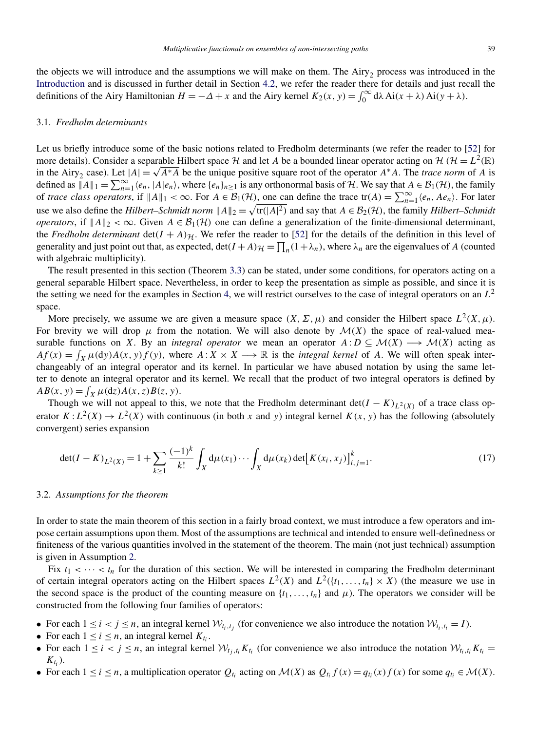<span id="page-11-0"></span>the objects we will introduce and the assumptions we will make on them. The Airy<sub>2</sub> process was introduced in the [Introduction](#page-0-0) and is discussed in further detail in Section [4.2,](#page-20-0) we refer the reader there for details and just recall the definitions of the Airy Hamiltonian  $H = -\Delta + x$  and the Airy kernel  $K_2(x, y) = \int_0^\infty d\lambda A i(x + \lambda) Ai(y + \lambda)$ .

#### 3.1. *Fredholm determinants*

Let us briefly introduce some of the basic notions related to Fredholm determinants (we refer the reader to [\[52\]](#page-30-0) for more details). Consider a separable Hilbert space H and let A be a bounded linear operator acting on H ( $H = L^2(\mathbb{R})$ ) in the Airy<sub>2</sub> case). Let  $|A| = \sqrt{A^*A}$  be the unique positive square root of the operator  $A^*A$ . The *trace norm* of *A* is defined as  $||A||_1 = \sum_{n=1}^{\infty} \langle e_n, |A|e_n \rangle$ , where  $\{e_n\}_{n\geq 1}$  is any orthonormal basis of  $\mathcal{H}$ . We say that  $A \in \mathcal{B}_1(\mathcal{H})$ , the family of *trace class operators*, if  $||A||_1 < \infty$ . For  $A \in \mathcal{B}_1(\mathcal{H})$ , one can define the trace  $tr(A) = \sum_{n=1}^{\infty} \langle e_n, Ae_n \rangle$ . For later use we also define the *Hilbert–Schmidt norm*  $||A||_2 = \sqrt{\text{tr}(|A|^2)}$  and say that  $A \in \mathcal{B}_2(\mathcal{H})$ , the family *Hilbert–Schmidt operators*, if  $||A||_2 < \infty$ . Given  $A \in \mathcal{B}_1(\mathcal{H})$  one can define a generalization of the finite-dimensional determinant, the *Fredholm determinant* det $(I + A)_{\mathcal{H}}$ . We refer the reader to [\[52\]](#page-30-0) for the details of the definition in this level of generality and just point out that, as expected,  $\det(I + A)_{\mathcal{H}} = \prod_n (1 + \lambda_n)$ , where  $\lambda_n$  are the eigenvalues of *A* (counted with algebraic multiplicity).

The result presented in this section (Theorem [3.3\)](#page-13-0) can be stated, under some conditions, for operators acting on a general separable Hilbert space. Nevertheless, in order to keep the presentation as simple as possible, and since it is the setting we need for the examples in Section [4,](#page-17-0) we will restrict ourselves to the case of integral operators on an *L*<sup>2</sup> space.

More precisely, we assume we are given a measure space  $(X, \Sigma, \mu)$  and consider the Hilbert space  $L^2(X, \mu)$ . For brevity we will drop  $\mu$  from the notation. We will also denote by  $\mathcal{M}(X)$  the space of real-valued measurable functions on *X*. By an *integral operator* we mean an operator  $A: D \subseteq \mathcal{M}(X) \longrightarrow \mathcal{M}(X)$  acting as  $Af(x) = \int_X \mu(dy)A(x, y)f(y)$ , where  $A: X \times X \longrightarrow \mathbb{R}$  is the *integral kernel* of *A*. We will often speak interchangeably of an integral operator and its kernel. In particular we have abused notation by using the same letter to denote an integral operator and its kernel. We recall that the product of two integral operators is defined by  $AB(x, y) = \int_X \mu(\mathrm{d}z) A(x, z) B(z, y).$ 

Though we will not appeal to this, we note that the Fredholm determinant det $(I - K)_{L^2(X)}$  of a trace class operator  $K: L^2(X) \to L^2(X)$  with continuous (in both *x* and *y*) integral kernel  $K(x, y)$  has the following (absolutely convergent) series expansion

$$
\det(I - K)_{L^2(X)} = 1 + \sum_{k \ge 1} \frac{(-1)^k}{k!} \int_X d\mu(x_1) \cdots \int_X d\mu(x_k) \det[K(x_i, x_j)]_{i,j=1}^k.
$$
 (17)

#### 3.2. *Assumptions for the theorem*

In order to state the main theorem of this section in a fairly broad context, we must introduce a few operators and impose certain assumptions upon them. Most of the assumptions are technical and intended to ensure well-definedness or finiteness of the various quantities involved in the statement of the theorem. The main (not just technical) assumption is given in Assumption [2.](#page-12-0)

Fix  $t_1 < \cdots < t_n$  for the duration of this section. We will be interested in comparing the Fredholm determinant of certain integral operators acting on the Hilbert spaces  $L^2(X)$  and  $L^2({t_1},...,t_n) \times X$ ) (the measure we use in the second space is the product of the counting measure on  $\{t_1, \ldots, t_n\}$  and  $\mu$ ). The operators we consider will be constructed from the following four families of operators:

- For each  $1 \le i < j \le n$ , an integral kernel  $W_{t_i,t_j}$  (for convenience we also introduce the notation  $W_{t_i,t_j} = I$ ).
- For each  $1 \le i \le n$ , an integral kernel  $K_{t_i}$ .
- For each  $1 \le i < j \le n$ , an integral kernel  $W_{t_i,t_i}K_{t_i}$  (for convenience we also introduce the notation  $W_{t_i,t_i}K_{t_i}$ *Kti*).
- For each  $1 \le i \le n$ , a multiplication operator  $Q_{t_i}$  acting on  $\mathcal{M}(X)$  as  $Q_{t_i} f(x) = q_{t_i}(x) f(x)$  for some  $q_{t_i} \in \mathcal{M}(X)$ .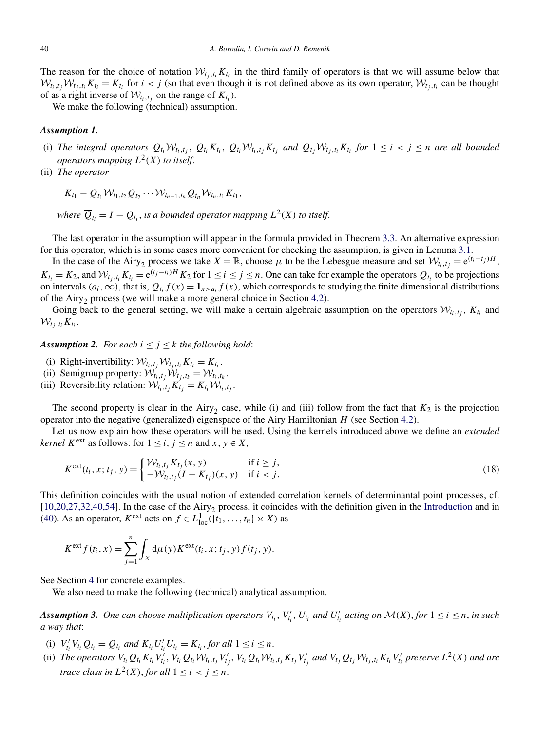<span id="page-12-0"></span>The reason for the choice of notation  $W_{t_i,t_i}K_{t_i}$  in the third family of operators is that we will assume below that  $W_{t_i,t_i}W_{t_i,t_i}K_{t_i}=K_{t_i}$  for  $i < j$  (so that even though it is not defined above as its own operator,  $W_{t_i,t_i}$  can be thought of as a right inverse of  $W_{t_i,t_j}$  on the range of  $K_{t_i}$ ).

We make the following (technical) assumption.

## *Assumption 1.*

- (i) The integral operators  $Q_{t_i}W_{t_i,t_j}$ ,  $Q_{t_i}K_{t_i}$ ,  $Q_{t_i}W_{t_i,t_j}K_{t_j}$  and  $Q_{t_j}W_{t_j,t_i}K_{t_i}$  for  $1 \leq i < j \leq n$  are all bounded *operators mapping*  $L^2(X)$  *to itself.*
- (ii) *The operator*

$$
K_{t_1}-\overline{Q}_{t_1}\mathcal{W}_{t_1,t_2}\overline{Q}_{t_2}\cdots \mathcal{W}_{t_{n-1},t_n}\overline{Q}_{t_n}\mathcal{W}_{t_n,t_1}K_{t_1},
$$

*where*  $\overline{Q}_t = I - Q_t$ , *is a bounded operator mapping*  $L^2(X)$  *to itself.* 

The last operator in the assumption will appear in the formula provided in Theorem [3.3.](#page-13-0) An alternative expression for this operator, which is in some cases more convenient for checking the assumption, is given in Lemma [3.1.](#page-13-0)

In the case of the Airy<sub>2</sub> process we take  $X = \mathbb{R}$ , choose  $\mu$  to be the Lebesgue measure and set  $\mathcal{W}_{t_i,t_j} = e^{(t_i - t_j)H}$ ,  $K_{t_i} = K_2$ , and  $W_{t_j,t_i} K_{t_i} = e^{(t_j-t_i)H} K_2$  for  $1 \le i \le j \le n$ . One can take for example the operators  $Q_{t_i}$  to be projections on intervals  $(a_i, \infty)$ , that is,  $Q_{t_i} f(x) = \mathbf{1}_{x>a_i} f(x)$ , which corresponds to studying the finite dimensional distributions of the Airy<sub>2</sub> process (we will make a more general choice in Section [4.2\)](#page-20-0).

Going back to the general setting, we will make a certain algebraic assumption on the operators  $W_{t_i,t_j}$ ,  $K_{t_i}$  and  $W_{t_i,t_i}K_{t_i}$ .

**Assumption 2.** For each  $i \leq j \leq k$  the following hold:

- (i) Right-invertibility:  $W_{t_i, t_j} W_{t_j, t_i} K_{t_i} = K_{t_i}$ .
- (ii) Semigroup property:  $W_{t_i,t_j}W_{t_j,t_k} = W_{t_i,t_k}$ .
- (iii) Reversibility relation:  $W_{t_i,t_j}K_{t_j} = K_{t_i}W_{t_i,t_j}$ .

The second property is clear in the Airy<sub>2</sub> case, while (i) and (iii) follow from the fact that  $K_2$  is the projection operator into the negative (generalized) eigenspace of the Airy Hamiltonian *H* (see Section [4.2\)](#page-20-0).

Let us now explain how these operators will be used. Using the kernels introduced above we define an *extended kernel*  $K^{\text{ext}}$  as follows: for  $1 \le i, j \le n$  and  $x, y \in X$ ,

$$
K^{\text{ext}}(t_i, x; t_j, y) = \begin{cases} \mathcal{W}_{t_i, t_j} K_{t_j}(x, y) & \text{if } i \geq j, \\ -\mathcal{W}_{t_i, t_j}(I - K_{t_j})(x, y) & \text{if } i < j. \end{cases} \tag{18}
$$

This definition coincides with the usual notion of extended correlation kernels of determinantal point processes, cf. [\[10,20,27,32,40,54\]](#page-29-0). In the case of the Airy<sub>2</sub> process, it coincides with the definition given in the [Introduction](#page-0-0) and in [\(40\)](#page-20-0). As an operator,  $K^{\text{ext}}$  acts on  $f \in L^1_{\text{loc}}(\{t_1, \ldots, t_n\} \times X)$  as

$$
K^{\text{ext}} f(t_i, x) = \sum_{j=1}^{n} \int_{X} d\mu(y) K^{\text{ext}}(t_i, x; t_j, y) f(t_j, y).
$$

See Section [4](#page-17-0) for concrete examples.

We also need to make the following (technical) analytical assumption.

*Assumption 3.* One can choose multiplication operators  $V_{t_i}$ ,  $V'_{t_i}$ ,  $U_{t_i}$  and  $U'_{t_i}$  acting on  $\mathcal{M}(X)$ , for  $1 \le i \le n$ , in such *a way that*:

- (i)  $V'_{t_i}V_{t_i}Q_{t_i} = Q_{t_i}$  and  $K_{t_i}U'_{t_i}U_{t_i} = K_{t_i}$ , for all  $1 \leq i \leq n$ .
- (i)  $v_{t_i}v_{t_i} \nabla_{t_i} \nabla_{t_i}$  and  $K_{t_i}v_{t_i} \nabla_{t_i} K_{t_i}$ , for all  $1 \leq t \leq n$ .<br>
(ii) The operators  $V_{t_i} Q_{t_i} K_{t_i} V'_{t_i}$ ,  $V_{t_i} Q_{t_i} W_{t_i, t_j} V'_{t_j}$ ,  $V_{t_i} Q_{t_i} W_{t_i, t_j} K_{t_j} V'_{t_j}$  and  $V_{t_j} Q_{t_j} W_{t_j, t_i} K_{t_i} V$ *trace class in*  $L^2(X)$ *, for all*  $1 \le i \le j \le n$ *.*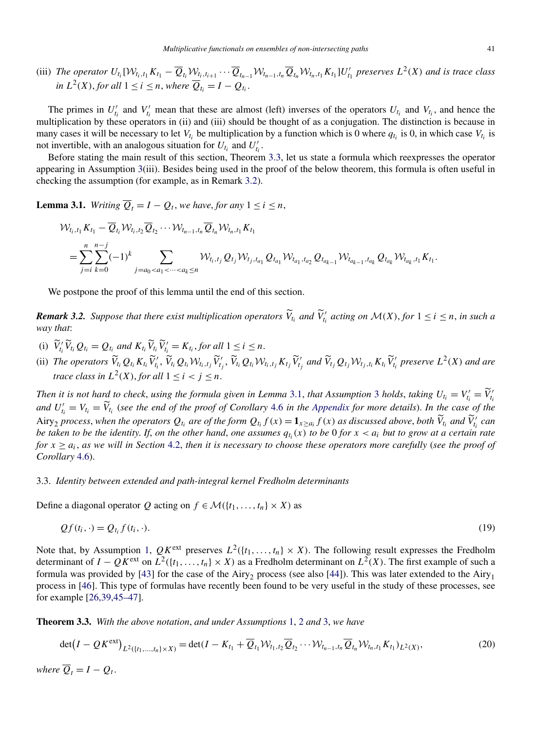<span id="page-13-0"></span>(iii) The operator  $U_{t_i}[W_{t_i,t_1}K_{t_1}-\overline{Q}_{t_i}W_{t_i,t_{i+1}}\cdots\overline{Q}_{t_{n-1}}W_{t_{n-1},t_n}\overline{Q}_{t_n}W_{t_n,t_1}K_{t_1}]U'_{t_1}$  preserves  $L^2(X)$  and is trace class *in*  $L^2(X)$ *, for all*  $1 ≤ i ≤ n$ *, where*  $\overline{Q}_t = I - Q_t$ *.* 

The primes in  $U'_{t_i}$  and  $V'_{t_i}$  mean that these are almost (left) inverses of the operators  $U_{t_i}$  and  $V_{t_i}$ , and hence the multiplication by these operators in (ii) and (iii) should be thought of as a conjugation. The distinction is because in many cases it will be necessary to let  $V_{t_i}$  be multiplication by a function which is 0 where  $q_{t_i}$  is 0, in which case  $V_{t_i}$  is not invertible, with an analogous situation for  $U_{t_i}$  and  $U'_{t_i}$ .

Before stating the main result of this section, Theorem 3.3, let us state a formula which reexpresses the operator appearing in Assumption [3\(](#page-12-0)iii). Besides being used in the proof of the below theorem, this formula is often useful in checking the assumption (for example, as in Remark 3.2).

**Lemma 3.1.** *Writing*  $\overline{Q}_t = I - Q_t$ , *we have, for any*  $1 \le i \le n$ ,

$$
\mathcal{W}_{t_i,t_1} K_{t_1} - \overline{Q}_{t_i} \mathcal{W}_{t_i,t_2} \overline{Q}_{t_2} \cdots \mathcal{W}_{t_{n-1},t_n} \overline{Q}_{t_n} \mathcal{W}_{t_n,t_1} K_{t_1}
$$
\n
$$
= \sum_{j=i}^{n} \sum_{k=0}^{n-j} (-1)^k \sum_{j=a_0 < a_1 < \dots < a_k \le n} \mathcal{W}_{t_i,t_j} Q_{t_j} \mathcal{W}_{t_j,t_{a_1}} Q_{t_{a_1}} \mathcal{W}_{t_{a_1},t_{a_2}} Q_{t_{a_{k-1}}} \mathcal{W}_{t_{a_{k-1}},t_{a_k}} Q_{t_{a_k}} \mathcal{W}_{t_{a_k},t_1} K_{t_1}.
$$

We postpone the proof of this lemma until the end of this section.

**Remark 3.2.** Suppose that there exist multiplication operators  $\widetilde{V}_{t_i}$  and  $\widetilde{V}'_{t_i}$  acting on  $\mathcal{M}(X)$ , for  $1 \le i \le n$ , in such a *way that*:

- (i)  $\widetilde{V}'_i \widetilde{V}_{i_i} Q_{t_i} = Q_{t_i}$  and  $K_{t_i} \widetilde{V}_{t_i} \widetilde{V}'_{t_i} = K_{t_i}$ , for all  $1 \leq i \leq n$ .
- (ii) The operators  $\widetilde{V}_{t_i}Q_{t_i}K_{t_i}\widetilde{V}'_{t_i}, \widetilde{V}_{t_i}Q_{t_i}\mathcal{W}_{t_i,t_j}\widetilde{V}'_{t_j}, \widetilde{V}_{t_i}Q_{t_i}\mathcal{W}_{t_i,t_j}K_{t_j}\widetilde{V}'_{t_j}$  and  $\widetilde{V}_{t_j}Q_{t_j}\mathcal{W}_{t_j,t_i}K_{t_i}\widetilde{V}'_{t_i}$  preserve  $L^2(X)$  and are *trace class in*  $L^2(X)$ *, for all*  $1 \leq i < j \leq n$ *.*

*Then it is not hard to check, using the formula given in Lemma [3](#page-12-0).1, <i>that Assumption* 3 *holds, taking*  $U_{t_i} = V'_{t_i} = \widetilde{V}'_{t_i}$ *and*  $U'_{t_i} = V_{t_i} = \widetilde{V}_{t_i}$  (see the end of the proof of Corollary [4.6](#page-20-0) in the [Appendix](#page-25-0) for more details). In the case of the Airy<sub>2</sub> process, when the operators  $Q_{t_i}$  are of the form  $Q_{t_i} f(x) = 1_{x \ge a_i} f(x)$  as discussed above, both  $\widetilde{V}_{t_i}$  and  $\widetilde{V}'_{t_i}$  can *be taken to be the identity. If, on the other hand, one assumes*  $q_t(x)$  *to be* 0 *for*  $x < a_i$  *but to grow at a certain rate for*  $x \ge a_i$ , *as we will in Section* [4.2,](#page-20-0) *then it is necessary to choose these operators more carefully (see the proof of Corollary* [4.6\)](#page-20-0).

## 3.3. *Identity between extended and path-integral kernel Fredholm determinants*

Define a diagonal operator *Q* acting on  $f \in \mathcal{M}(\lbrace t_1, \ldots, t_n \rbrace \times X)$  as

$$
Qf(t_i, \cdot) = Q_{t_i} f(t_i, \cdot). \tag{19}
$$

Note that, by Assumption [1,](#page-12-0)  $QK^{\text{ext}}$  preserves  $L^2({t_1,\ldots,t_n} \times X)$ . The following result expresses the Fredholm determinant of  $I - QK^{\text{ext}}$  on  $L^2({t_1, \ldots, t_n} \times X)$  as a Fredholm determinant on  $L^2(X)$ . The first example of such a formula was provided by [\[43\]](#page-29-0) for the case of the Airy<sub>2</sub> process (see also [\[44\]](#page-30-0)). This was later extended to the Airy<sub>1</sub> process in [\[46\]](#page-30-0). This type of formulas have recently been found to be very useful in the study of these processes, see for example [\[26,39,45–47\]](#page-29-0).

**Theorem 3.3.** *With the above notation*, *and under Assumptions* [1,](#page-12-0) [2](#page-12-0) *and* [3,](#page-12-0) *we have*

$$
\det(I - QK^{\text{ext}})_{L^2([t_1, ..., t_n] \times X)} = \det(I - K_{t_1} + \overline{Q}_{t_1} \mathcal{W}_{t_1, t_2} \overline{Q}_{t_2} \cdots \mathcal{W}_{t_{n-1}, t_n} \overline{Q}_{t_n} \mathcal{W}_{t_n, t_1} K_{t_1})_{L^2(X)},
$$
\n(20)

*where*  $\overline{Q}_t = I - Q_t$ .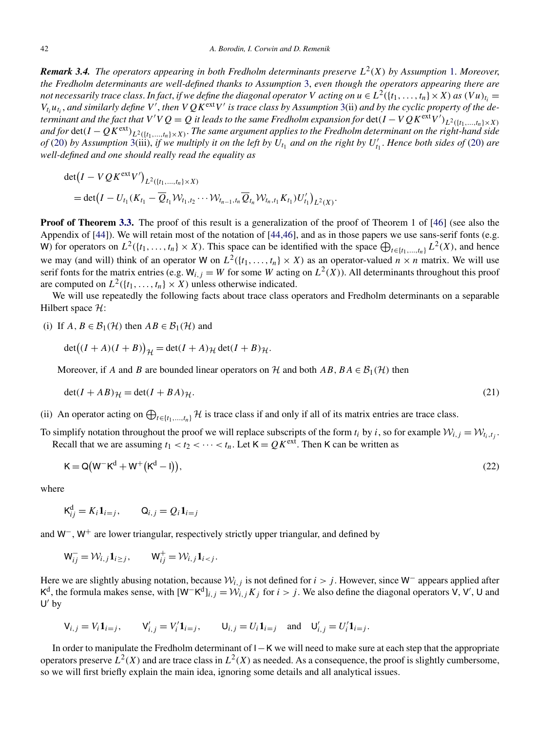<span id="page-14-0"></span>*Remark 3.4. The operators appearing in both Fredholm determinants preserve* $L^2(X)$ *by Assumption [1.](#page-12-0) Moreover, the Fredholm determinants are well-defined thanks to Assumption* [3,](#page-12-0) *even though the operators appearing there are not necessarily trace class. In fact, if we define the diagonal operator V* acting on  $u \in L^2({t_1,\ldots,t_n} \times X)$  as  $(Vu)_{t_i} =$  $V_{t_i}u_{t_i}$ , and similarly define V<sup>'</sup>, then  $VQK^{ext}V'$  is trace class by Assumption [3\(](#page-12-0)ii) and by the cyclic property of the de*terminant and the fact that*  $V'VQ = Q$  *it leads to the same Fredholm expansion for*  $det(I - VQK^{ext}V')_{L^2(\{t_1,...,t_n\}\times X)}$ *and for* det $(I-QK^{\text{ext}})_{L^2(\{t_1,\ldots,t_n\}\times X)}$ . The same argument applies to the Fredholm determinant on the right-hand side *of* [\(20\)](#page-13-0) by Assumption [3\(](#page-12-0)iii), if we multiply it on the left by  $U_{t_1}$  and on the right by  $U'_{t_1}$ . Hence both sides of (20) are *well-defined and one should really read the equality as*

$$
\det(I - VQK^{\text{ext}}V')_{L^2({t_1,\ldots,t_n}) \times X)}
$$
  
= det $(I - U_{t_1}(K_{t_1} - \overline{Q}_{t_1}W_{t_1,t_2}\cdots W_{t_{n-1},t_n}\overline{Q}_{t_n}W_{t_n,t_1}K_{t_1})U'_{t_1})_{L^2(X)}.$ 

**Proof of Theorem [3.3.](#page-13-0)** The proof of this result is a generalization of the proof of Theorem 1 of [\[46\]](#page-30-0) (see also the Appendix of [\[44\]](#page-30-0)). We will retain most of the notation of [\[44,46\]](#page-30-0), and as in those papers we use sans-serif fonts (e.g. W) for operators on  $L^2({t_1, ..., t_n} \times X)$ . This space can be identified with the space  $\bigoplus_{t \in {t_1, ..., t_n}} L^2(X)$ , and hence we may (and will) think of an operator W on  $L^2({t_1,\ldots,t_n} \times X)$  as an operator-valued  $n \times n$  matrix. We will use serif fonts for the matrix entries (e.g.  $W_{i,j} = W$  for some *W* acting on  $L^2(X)$ ). All determinants throughout this proof are computed on  $L^2({t_1, \ldots, t_n} \times X)$  unless otherwise indicated.

We will use repeatedly the following facts about trace class operators and Fredholm determinants on a separable Hilbert space  $H$ :

(i) If  $A, B \in \mathcal{B}_1(\mathcal{H})$  then  $AB \in \mathcal{B}_1(\mathcal{H})$  and

$$
\det((I + A)(I + B))_{\mathcal{H}} = \det(I + A)_{\mathcal{H}} \det(I + B)_{\mathcal{H}}.
$$

Moreover, if *A* and *B* are bounded linear operators on *H* and both *AB*,  $BA \in \mathcal{B}_1(\mathcal{H})$  then

$$
\det(I + AB)\mathcal{H} = \det(I + BA)\mathcal{H}.
$$
\n(21)

(ii) An operator acting on  $\bigoplus_{t \in \{t_1, \ldots, t_n\}} \mathcal{H}$  is trace class if and only if all of its matrix entries are trace class.

To simplify notation throughout the proof we will replace subscripts of the form  $t_i$  by *i*, so for example  $W_{i,j} = W_{t_i,t_j}$ . Recall that we are assuming  $t_1 < t_2 < \cdots < t_n$ . Let  $K = QK^{\text{ext}}$ . Then K can be written as

$$
K = Q(W^-K^d + W^+(K^d - I)),
$$
\n(22)

where

$$
\mathsf{K}_{ij}^{\mathrm{d}} = K_i \mathbf{1}_{i=j}, \qquad \mathsf{Q}_{i,j} = Q_i \mathbf{1}_{i=j}
$$

and W−, W<sup>+</sup> are lower triangular, respectively strictly upper triangular, and defined by

$$
\mathsf{W}_{ij}^- = \mathcal{W}_{i,j} \mathbf{1}_{i \geq j}, \qquad \mathsf{W}_{ij}^+ = \mathcal{W}_{i,j} \mathbf{1}_{i < j}.
$$

Here we are slightly abusing notation, because  $W_{i,j}$  is not defined for *i > j*. However, since W<sup>−</sup> appears applied after K<sup>d</sup>, the formula makes sense, with  $[W-K^d]_{i,j} = W_{i,j}K_j$  for  $i > j$ . We also define the diagonal operators V, V', U and  $U'$  by

$$
V_{i,j} = V_i \mathbf{1}_{i=j}, \qquad V'_{i,j} = V'_i \mathbf{1}_{i=j}, \qquad U_{i,j} = U_i \mathbf{1}_{i=j} \quad \text{and} \quad U'_{i,j} = U'_i \mathbf{1}_{i=j}.
$$

In order to manipulate the Fredholm determinant of I−K we will need to make sure at each step that the appropriate operators preserve  $L^2(X)$  and are trace class in  $L^2(X)$  as needed. As a consequence, the proof is slightly cumbersome, so we will first briefly explain the main idea, ignoring some details and all analytical issues.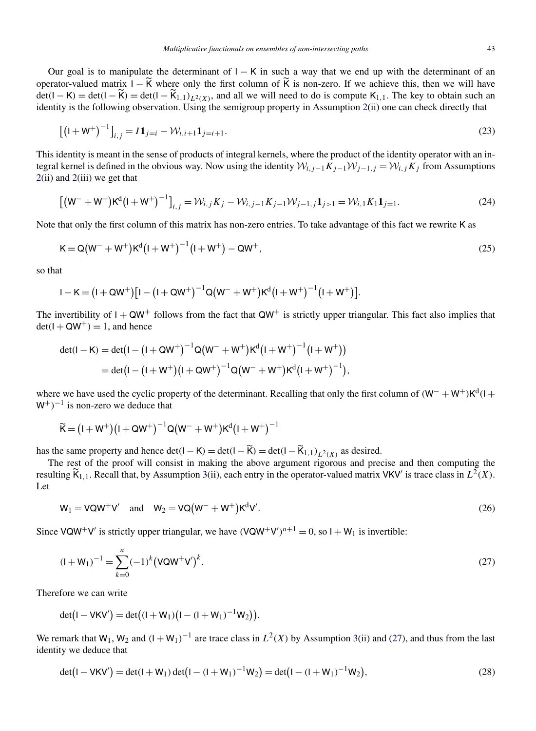<span id="page-15-0"></span>Our goal is to manipulate the determinant of  $I - K$  in such a way that we end up with the determinant of an operator-valued matrix  $I - \widetilde{K}$  where only the first column of  $\widetilde{K}$  is non-zero. If we achieve this, then we will have  $\det(I - K) = \det(I - \widetilde{K}_1 - \widetilde{K}_{1,1})$ <sub>L</sub><sub>2</sub>(x)</sub>, and all we will need to do is compute K<sub>1,1</sub>. The key to obtain such an identity is the following observation. Using the semigroup property in Assumption [2\(](#page-12-0)ii) one can check directly that

$$
\left[ \left( \mathbf{I} + \mathbf{W}^+ \right)^{-1} \right]_{i,j} = I \mathbf{1}_{j=i} - \mathcal{W}_{i,i+1} \mathbf{1}_{j=i+1}.
$$
\n(23)

This identity is meant in the sense of products of integral kernels, where the product of the identity operator with an integral kernel is defined in the obvious way. Now using the identity  $W_{i,j-1}K_{j-1}W_{j-1,j} = W_{i,j}K_j$  from Assumptions [2\(](#page-12-0)ii) and [2\(](#page-12-0)iii) we get that

$$
[(W^- + W^+)K^d (I + W^+)^{-1}]_{i,j} = \mathcal{W}_{i,j} K_j - \mathcal{W}_{i,j-1} K_{j-1} \mathcal{W}_{j-1,j} \mathbf{1}_{j>1} = \mathcal{W}_{i,1} K_1 \mathbf{1}_{j=1}.
$$
 (24)

Note that only the first column of this matrix has non-zero entries. To take advantage of this fact we rewrite K as

$$
K = Q(W^{-} + W^{+})K^{d}(I + W^{+})^{-1}(I + W^{+}) - QW^{+},
$$
\n(25)

so that

$$
I - K = (I + QW^{+})[I - (I + QW^{+})^{-1}Q(W^{-} + W^{+})K^{d}(I + W^{+})^{-1}(I + W^{+})].
$$

The invertibility of  $I + QW^+$  follows from the fact that  $QW^+$  is strictly upper triangular. This fact also implies that  $det(I + QW^+) = 1$ , and hence

$$
det(I - K) = det(I - (I + QW^{+})^{-1}Q(W^{-} + W^{+})K^{d}(I + W^{+})^{-1}(I + W^{+}))
$$
  
= det(I - (I + W^{+})(I + QW^{+})^{-1}Q(W^{-} + W^{+})K^{d}(I + W^{+})^{-1}),

where we have used the cyclic property of the determinant. Recalling that only the first column of  $(W^- + W^+)K^d(1 +$ W+*)*−<sup>1</sup> is non-zero we deduce that

$$
\widetilde{K} = (I + W^{+})(I + QW^{+})^{-1}Q(W^{-} + W^{+})K^{d}(I + W^{+})^{-1}
$$

has the same property and hence det $(I - K) = \det(I - \widetilde{K}) = \det(I - \widetilde{K}_{1,1})_{L^2(X)}$  as desired.

The rest of the proof will consist in making the above argument rigorous and precise and then computing the resulting  $\widetilde{K}_{1,1}$ . Recall that, by Assumption [3\(](#page-12-0)ii), each entry in the operator-valued matrix VKV' is trace class in  $L^2(X)$ . Let

$$
W_1 = VQW^+V' \quad \text{and} \quad W_2 = VQ(W^- + W^+)K^dV'. \tag{26}
$$

Since VQW<sup>+</sup>V' is strictly upper triangular, we have  $(VQW^+V')^{n+1} = 0$ , so  $I + W_1$  is invertible:

$$
(I + W_1)^{-1} = \sum_{k=0}^{n} (-1)^k (VQW^+V')^k.
$$
\n(27)

Therefore we can write

$$
\det(I - VKV') = \det((I + W_1)(I - (I + W_1)^{-1}W_2)).
$$

We remark that W<sub>1</sub>, W<sub>2</sub> and  $(I + W_1)^{-1}$  are trace class in  $L^2(X)$  by Assumption [3\(](#page-12-0)ii) and (27), and thus from the last identity we deduce that

$$
\det(I - VKV') = \det(I + W_1) \det(I - (I + W_1)^{-1}W_2) = \det(I - (I + W_1)^{-1}W_2),
$$
\n(28)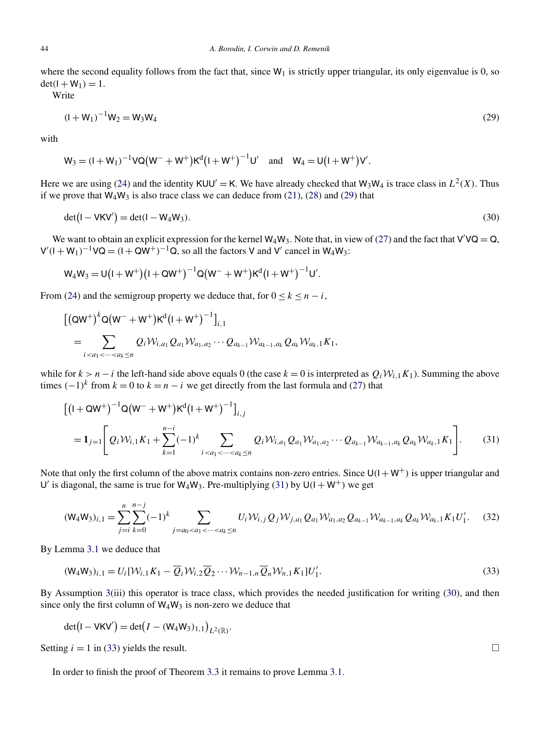where the second equality follows from the fact that, since  $W_1$  is strictly upper triangular, its only eigenvalue is 0, so  $det(I + W_1) = 1.$ 

Write

$$
(1 + W_1)^{-1}W_2 = W_3W_4
$$
 (29)

with

 $W_3 = (I + W_1)^{-1} V Q (W^- + W^+) K^d (I + W^+)^{-1} U'$  and  $W_4 = U (I + W^+) V'.$ 

Here we are using [\(24\)](#page-15-0) and the identity  $KUU' = K$ . We have already checked that  $W_3W_4$  is trace class in  $L^2(X)$ . Thus if we prove that  $W_4W_3$  is also trace class we can deduce from [\(21\)](#page-14-0), [\(28\)](#page-15-0) and (29) that

$$
\det(\mathbf{I} - \mathbf{V}\mathbf{K}\mathbf{V}') = \det(\mathbf{I} - \mathbf{W}_4\mathbf{W}_3). \tag{30}
$$

We want to obtain an explicit expression for the kernel  $W_4W_3$ . Note that, in view of [\(27\)](#page-15-0) and the fact that  $V'VQ = Q$ ,  $V'(I + W_1)^{-1}VQ = (I + QW^+)^{-1}Q$ , so all the factors V and V' cancel in W<sub>4</sub>W<sub>3</sub>:

$$
W_4 W_3 = U (I + W^+)(I + Q W^+)^{-1} Q (W^- + W^+) K^d (I + W^+)^{-1} U'.
$$

From [\(24\)](#page-15-0) and the semigroup property we deduce that, for  $0 \le k \le n - i$ ,

$$
\begin{aligned} & \left[ \left( \mathsf{Q}\mathsf{W}^+ \right)^k \mathsf{Q} \left( \mathsf{W}^- + \mathsf{W}^+ \right) \mathsf{K}^d \left( \mathsf{I} + \mathsf{W}^+ \right)^{-1} \right]_{i,1} \\ &= \sum_{i < a_1 < \dots < a_k \leq n} Q_i \mathcal{W}_{i,a_1} Q_{a_1} \mathcal{W}_{a_1,a_2} \cdots Q_{a_{k-1}} \mathcal{W}_{a_{k-1},a_k} Q_{a_k} \mathcal{W}_{a_k,1} K_1, \end{aligned}
$$

while for  $k > n - i$  the left-hand side above equals 0 (the case  $k = 0$  is interpreted as  $Q_i \mathcal{W}_{i,1} K_1$ ). Summing the above times  $(-1)^k$  from  $k = 0$  to  $k = n - i$  we get directly from the last formula and [\(27\)](#page-15-0) that

$$
\begin{aligned}\n\left[ (1 + \mathsf{Q} W^+)^{-1} \mathsf{Q} (W^- + W^+) K^d (1 + W^+)^{-1} \right]_{i,j} \\
= \mathbf{1}_{j=1} \Bigg[ Q_i \mathcal{W}_{i,1} K_1 + \sum_{k=1}^{n-i} (-1)^k \sum_{i < a_1 < \dots < a_k \le n} Q_i \mathcal{W}_{i,a_1} Q_{a_1} \mathcal{W}_{a_1,a_2} \cdots Q_{a_{k-1}} \mathcal{W}_{a_{k-1},a_k} Q_{a_k} \mathcal{W}_{a_k,1} K_1 \Bigg].\n\end{aligned} \tag{31}
$$

Note that only the first column of the above matrix contains non-zero entries. Since  $U(1 + W^+)$  is upper triangular and U' is diagonal, the same is true for  $W_4W_3$ . Pre-multiplying (31) by  $U(1+W^+)$  we get

$$
(\mathsf{W}_{4}\mathsf{W}_{3})_{i,1} = \sum_{j=i}^{n} \sum_{k=0}^{n-j} (-1)^{k} \sum_{j=a_{0} < a_{1} < \cdots < a_{k} \leq n} U_{i} \mathcal{W}_{i,j} Q_{j} \mathcal{W}_{j,a_{1}} Q_{a_{1}} \mathcal{W}_{a_{1},a_{2}} Q_{a_{k-1}} \mathcal{W}_{a_{k-1},a_{k}} Q_{a_{k}} \mathcal{W}_{a_{k},1} K_{1} U'_{1}.
$$
 (32)

By Lemma [3.1](#page-13-0) we deduce that

$$
(\mathsf{W}_{4}\mathsf{W}_{3})_{i,1} = U_{i}[\mathcal{W}_{i,1}K_{1} - \overline{Q}_{i}\mathcal{W}_{i,2}\overline{Q}_{2}\cdots\mathcal{W}_{n-1,n}\overline{Q}_{n}\mathcal{W}_{n,1}K_{1}]U'_{1}.
$$
\n(33)

By Assumption [3\(](#page-12-0)iii) this operator is trace class, which provides the needed justification for writing (30), and then since only the first column of  $W_4W_3$  is non-zero we deduce that

$$
\det(I - VKV') = \det(I - (W_4W_3)_{1,1})_{L^2(\mathbb{R})}.
$$

Setting  $i = 1$  in (33) yields the result.  $\Box$ 

In order to finish the proof of Theorem [3.3](#page-13-0) it remains to prove Lemma [3.1.](#page-13-0)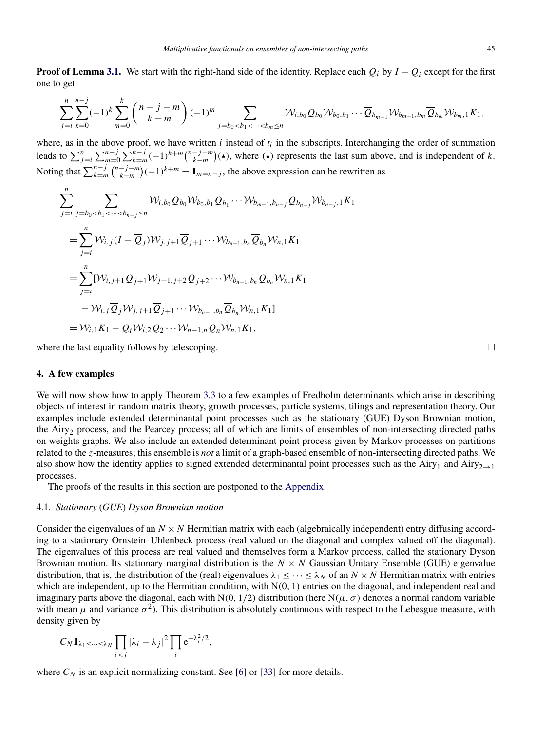<span id="page-17-0"></span>**Proof of Lemma [3.1.](#page-13-0)** We start with the right-hand side of the identity. Replace each  $Q_i$  by  $I - \overline{Q}_i$  except for the first one to get

$$
\sum_{j=i}^{n} \sum_{k=0}^{n-j} (-1)^k \sum_{m=0}^k {n-j-m \choose k-m} (-1)^m \sum_{j=b_0
$$

where, as in the above proof, we have written  $i$  instead of  $t_i$  in the subscripts. Interchanging the order of summation leads to  $\sum_{j=i}^{n} \sum_{m=0}^{n-j} \sum_{k=m}^{n-j} (-1)^{k+m} {n-j-m \choose k-m} (\star)$ , where  $(\star)$  represents the last sum above, and is independent of k. Noting that  $\sum_{k=m}^{n-j} \binom{n-j-m}{k-m} (-1)^{k+m} = \mathbf{1}_{m=n-j}$ , the above expression can be rewritten as

$$
\sum_{j=i}^{n} \sum_{j=b_0\n
$$
=\sum_{j=i}^{n} W_{i,j}(I-\overline{Q}_j)W_{j,j+1}\overline{Q}_{j+1}\cdots W_{b_{n-1},b_n}\overline{Q}_{b_n}W_{n,1}K_1
$$
\n
$$
=\sum_{j=i}^{n} [W_{i,j+1}\overline{Q}_{j+1}W_{j+1,j+2}\overline{Q}_{j+2}\cdots W_{b_{n-1},b_n}\overline{Q}_{b_n}W_{n,1}K_1
$$
\n
$$
-W_{i,j}\overline{Q}_jW_{j,j+1}\overline{Q}_{j+1}\cdots W_{b_{n-1},b_n}\overline{Q}_{b_n}W_{n,1}K_1]
$$
\n
$$
=W_{i,1}K_1-\overline{Q}_iW_{i,2}\overline{Q}_2\cdots W_{n-1,n}\overline{Q}_nW_{n,1}K_1,
$$
$$

where the last equality follows by telescoping.  $\Box$ 

#### **4. A few examples**

We will now show how to apply Theorem [3.3](#page-13-0) to a few examples of Fredholm determinants which arise in describing objects of interest in random matrix theory, growth processes, particle systems, tilings and representation theory. Our examples include extended determinantal point processes such as the stationary (GUE) Dyson Brownian motion, the Airy<sub>2</sub> process, and the Pearcey process; all of which are limits of ensembles of non-intersecting directed paths on weights graphs. We also include an extended determinant point process given by Markov processes on partitions related to the *z*-measures; this ensemble is *not* a limit of a graph-based ensemble of non-intersecting directed paths. We also show how the identity applies to signed extended determinantal point processes such as the Airy<sub>1</sub> and Airy<sub>2→1</sub> processes.

The proofs of the results in this section are postponed to the [Appendix.](#page-25-0)

## 4.1. *Stationary* (*GUE*) *Dyson Brownian motion*

Consider the eigenvalues of an  $N \times N$  Hermitian matrix with each (algebraically independent) entry diffusing according to a stationary Ornstein–Uhlenbeck process (real valued on the diagonal and complex valued off the diagonal). The eigenvalues of this process are real valued and themselves form a Markov process, called the stationary Dyson Brownian motion. Its stationary marginal distribution is the  $N \times N$  Gaussian Unitary Ensemble (GUE) eigenvalue distribution, that is, the distribution of the (real) eigenvalues  $\lambda_1 \leq \cdots \leq \lambda_N$  of an  $N \times N$  Hermitian matrix with entries which are independent, up to the Hermitian condition, with  $N(0, 1)$  entries on the diagonal, and independent real and imaginary parts above the diagonal, each with N $(0, 1/2)$  distribution (here N $(\mu, \sigma)$ ) denotes a normal random variable with mean  $\mu$  and variance  $\sigma^2$ ). This distribution is absolutely continuous with respect to the Lebesgue measure, with density given by

$$
C_N \mathbf{1}_{\lambda_1 \leq \cdots \leq \lambda_N} \prod_{i < j} |\lambda_i - \lambda_j|^2 \prod_i e^{-\lambda_i^2/2},
$$

where  $C_N$  is an explicit normalizing constant. See [\[6\]](#page-29-0) or [\[33\]](#page-29-0) for more details.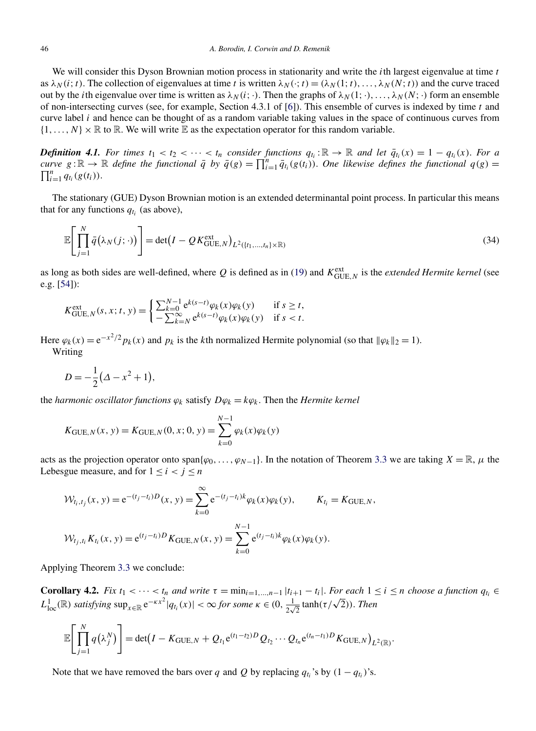<span id="page-18-0"></span>We will consider this Dyson Brownian motion process in stationarity and write the *i*th largest eigenvalue at time *t* as  $\lambda_N(i; t)$ . The collection of eigenvalues at time *t* is written  $\lambda_N(\cdot; t) = (\lambda_N(1; t), \dots, \lambda_N(N; t))$  and the curve traced out by the *i*th eigenvalue over time is written as  $λ_N(i; \cdot)$ . Then the graphs of  $λ_N(1; \cdot), \ldots, λ_N(N; \cdot)$  form an ensemble of non-intersecting curves (see, for example, Section 4.3.1 of [\[6\]](#page-29-0)). This ensemble of curves is indexed by time *t* and curve label *i* and hence can be thought of as a random variable taking values in the space of continuous curves from  $\{1,\ldots,N\}\times\mathbb{R}$  to  $\mathbb{R}$ . We will write  $\mathbb{E}$  as the expectation operator for this random variable.

*Definition 4.1. For times*  $t_1 < t_2 < \cdots < t_n$  consider functions  $q_{t_i} : \mathbb{R} \to \mathbb{R}$  and let  $\overline{q}_{t_i}(x) = 1 - q_{t_i}(x)$ . For a *curve*  $g: \mathbb{R} \to \mathbb{R}$  *define the functional*  $\bar{q}$  *by*  $\bar{q}(g) = \prod_{i=1}^{n} \bar{q}_{t_i}(g(t_i))$ . One likewise defines the functional  $q(g) = \prod_{i=1}^{n} q_{t_i}(g(t_i))$  $\prod_{i=1}^{n} q_{t_i}(g(t_i)).$ 

The stationary (GUE) Dyson Brownian motion is an extended determinantal point process. In particular this means that for any functions  $q_t$ ; (as above),

$$
\mathbb{E}\left[\prod_{j=1}^{N}\bar{q}(\lambda_{N}(j;\cdot))\right]=\det(I-QK_{\text{GUE},N}^{\text{ext}})_{L^{2}(\lbrace t_{1},...,t_{n}\rbrace\times\mathbb{R})}
$$
(34)

as long as both sides are well-defined, where  $Q$  is defined as in [\(19\)](#page-13-0) and  $K_{\text{GUE},N}^{\text{ext}}$  is the *extended Hermite kernel* (see e.g. [\[54\]](#page-30-0)):

$$
K_{\text{GUE},N}^{\text{ext}}(s,x;t,y) = \begin{cases} \sum_{k=0}^{N-1} e^{k(s-t)} \varphi_k(x) \varphi_k(y) & \text{if } s \ge t, \\ -\sum_{k=N}^{\infty} e^{k(s-t)} \varphi_k(x) \varphi_k(y) & \text{if } s < t. \end{cases}
$$

Here  $\varphi_k(x) = e^{-x^2/2} p_k(x)$  and  $p_k$  is the *k*th normalized Hermite polynomial (so that  $\|\varphi_k\|_2 = 1$ ). Writing

$$
D = -\frac{1}{2}(\Delta - x^2 + 1),
$$

the *harmonic oscillator functions*  $\varphi_k$  satisfy  $D\varphi_k = k\varphi_k$ . Then the *Hermite kernel* 

$$
K_{\text{GUE},N}(x, y) = K_{\text{GUE},N}(0, x; 0, y) = \sum_{k=0}^{N-1} \varphi_k(x) \varphi_k(y)
$$

acts as the projection operator onto span $\{\varphi_0, \ldots, \varphi_{N-1}\}\$ . In the notation of Theorem [3.3](#page-13-0) we are taking  $X = \mathbb{R}, \mu$  the Lebesgue measure, and for  $1 \le i < j \le n$ 

$$
\mathcal{W}_{t_i, t_j}(x, y) = e^{-(t_j - t_i)D}(x, y) = \sum_{k=0}^{\infty} e^{-(t_j - t_i)k} \varphi_k(x) \varphi_k(y), \qquad K_{t_i} = K_{\text{GUE}, N},
$$
  

$$
\mathcal{W}_{t_j, t_i} K_{t_i}(x, y) = e^{(t_j - t_i)D} K_{\text{GUE}, N}(x, y) = \sum_{k=0}^{N-1} e^{(t_j - t_i)k} \varphi_k(x) \varphi_k(y).
$$

Applying Theorem [3.3](#page-13-0) we conclude:

**Corollary 4.2.** Fix  $t_1 < \cdots < t_n$  and write  $\tau = \min_{i=1,\ldots,n-1} |t_{i+1} - t_i|$ . For each  $1 \le i \le n$  choose a function  $q_{t_i} \in$ *L*<sub>1</sub><sub>0</sub>. *CA l***<sub>1</sub><sup>2</sup>.** *LA*  $\iota_1$   $\leq$   $\cdots \leq \iota_n$  *and write*  $\iota = \min_{l=1,\dots,n-1} |\iota_{l+1} - \iota_{l}|$ . *For each*  $\iota_1$   $\leq$   $L$ <sub>1</sub><sub>0</sub>*c*( $\mathbb{R}$ ) *satisfying* sup<sub>*x*∈ $\mathbb{R}$ </sub>  $e^{-\kappa x^2} |q_{t_i}(x)| < \infty$  *for s* 

$$
\mathbb{E}\Bigg[\prod_{j=1}^N q\big(\lambda_j^N\big)\Bigg] = \det(I - K_{\text{GUE},N} + Q_{t_1}e^{(t_1-t_2)D}Q_{t_2}\cdots Q_{t_n}e^{(t_n-t_1)D}K_{\text{GUE},N}\big)_{L^2(\mathbb{R})}.
$$

Note that we have removed the bars over *q* and *Q* by replacing  $q_{t_i}$ 's by  $(1 - q_{t_i})$ 's.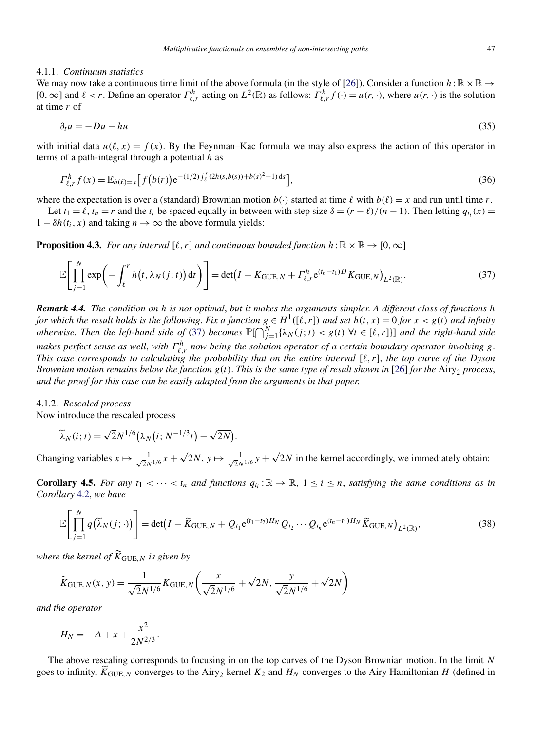#### <span id="page-19-0"></span>4.1.1. *Continuum statistics*

We may now take a continuous time limit of the above formula (in the style of [\[26\]](#page-29-0)). Consider a function  $h:\mathbb{R}\times\mathbb{R}\to\mathbb{R}$ [0,  $\infty$ ] and  $\ell < r$ . Define an operator  $\Gamma^h_{\ell,r}$  acting on  $L^2(\mathbb{R})$  as follows:  $\Gamma^h_{\ell,r} f(\cdot) = u(r, \cdot)$ , where  $u(r, \cdot)$  is the solution at time *r* of

$$
\partial_t u = -Du - hu \tag{35}
$$

with initial data  $u(\ell, x) = f(x)$ . By the Feynman–Kac formula we may also express the action of this operator in terms of a path-integral through a potential *h* as

$$
\Gamma_{\ell,r}^h f(x) = \mathbb{E}_{b(\ell)=x} \Big[ f\big(b(r)\big) e^{-(1/2)\int_{\ell}^r (2h(s,b(s))+b(s)^2-1) \,ds} \Big],\tag{36}
$$

where the expectation is over a (standard) Brownian motion  $b(\cdot)$  started at time  $\ell$  with  $b(\ell) = x$  and run until time *r*.

Let  $t_1 = \ell$ ,  $t_n = r$  and the  $t_i$  be spaced equally in between with step size  $\delta = (r - \ell)/(n - 1)$ . Then letting  $q_t(x) =$  $1 - \delta h(t_i, x)$  and taking  $n \to \infty$  the above formula yields:

**Proposition 4.3.** *For any interval* [ $\ell, r$ ] *and continuous bounded function*  $h : \mathbb{R} \times \mathbb{R} \to [0, \infty]$ 

$$
\mathbb{E}\Bigg[\prod_{j=1}^N \exp\Bigg(-\int_{\ell}^r h\big(t,\lambda_N(j;t)\bigg)\,\mathrm{d}t\Bigg)\Bigg] = \det\big(I - K_{\text{GUE},N} + \Gamma_{\ell,r}^h e^{(t_n - t_1)D} K_{\text{GUE},N}\big)_{L^2(\mathbb{R})}.\tag{37}
$$

*Remark 4.4. The condition on h is not optimal*, *but it makes the arguments simpler*. *A different class of functions h for which the result holds is the following. Fix a function*  $g \in H^1([\ell, r])$  *and set*  $h(t, x) = 0$  *for*  $x < g(t)$  *and infinity otherwise. Then the left-hand side of* (37) *becomes*  $\mathbb{P}[\bigcap_{j=1}^N \{\lambda_N(j;t) < g(t) \ \forall t \in [\ell,r]\}]$  and the right-hand side *makes perfect sense as well, with*  $\Gamma^h_{\ell,r}$  *now being the solution operator of a certain boundary operator involving*  $g$ . *This case corresponds to calculating the probability that on the entire interval*  $[\ell, r]$ *, the top curve of the Dyson Brownian motion remains below the function*  $g(t)$ . *This is the same type of result shown in* [\[26\]](#page-29-0) *for the* Airy<sub>2</sub> *process*, *and the proof for this case can be easily adapted from the arguments in that paper*.

#### 4.1.2. *Rescaled process*

Now introduce the rescaled process

$$
\widetilde{\lambda}_N(i;t) = \sqrt{2}N^{1/6}(\lambda_N(i;N^{-1/3}t) - \sqrt{2N}).
$$

Changing variables  $x \mapsto \frac{1}{\sqrt{2}N^{1/6}}x + \sqrt{2N}$ ,  $y \mapsto \frac{1}{\sqrt{2}N^{1/6}}y + \sqrt{2N}$  in the kernel accordingly, we immediately obtain:

**Corollary 4.5.** *For any*  $t_1 < \cdots < t_n$  *and functions*  $q_{t_i}$ :  $\mathbb{R} \to \mathbb{R}$ ,  $1 \le i \le n$ , *satisfying the same conditions as in Corollary* [4.2,](#page-18-0) *we have*

$$
\mathbb{E}\Bigg[\prod_{j=1}^{N}q(\widetilde{\lambda}_{N}(j;\cdot))\Bigg]=\det(I-\widetilde{K}_{\text{GUE},N}+Q_{t_{1}}e^{(t_{1}-t_{2})H_{N}}Q_{t_{2}}\cdots Q_{t_{n}}e^{(t_{n}-t_{1})H_{N}}\widetilde{K}_{\text{GUE},N}\big)_{L^{2}(\mathbb{R})},\tag{38}
$$

*where the kernel of*  $\widetilde{K}_{\text{GUE},N}$  *is given by* 

$$
\widetilde{K}_{\text{GUE},N}(x, y) = \frac{1}{\sqrt{2}N^{1/6}} K_{\text{GUE},N} \left( \frac{x}{\sqrt{2}N^{1/6}} + \sqrt{2N}, \frac{y}{\sqrt{2}N^{1/6}} + \sqrt{2N} \right)
$$

*and the operator*

$$
H_N = -\Delta + x + \frac{x^2}{2N^{2/3}}.
$$

The above rescaling corresponds to focusing in on the top curves of the Dyson Brownian motion. In the limit *N* goes to infinity,  $\tilde{K}_{GUE,N}$  converges to the Airy<sub>2</sub> kernel  $K_2$  and  $H_N$  converges to the Airy Hamiltonian *H* (defined in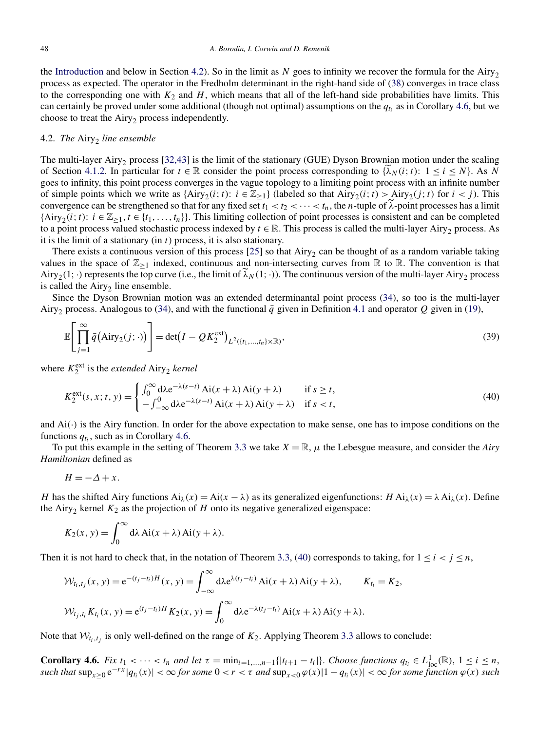<span id="page-20-0"></span>the [Introduction](#page-0-0) and below in Section 4.2). So in the limit as  $N$  goes to infinity we recover the formula for the Airy<sub>2</sub> process as expected. The operator in the Fredholm determinant in the right-hand side of [\(38\)](#page-19-0) converges in trace class to the corresponding one with  $K_2$  and  $H$ , which means that all of the left-hand side probabilities have limits. This can certainly be proved under some additional (though not optimal) assumptions on the  $q_t$  as in Corollary 4.6, but we choose to treat the Airy<sub>2</sub> process independently.

## 4.2. *The Airy<sub>2</sub> line ensemble*

The multi-layer Airy<sub>2</sub> process [\[32,43\]](#page-29-0) is the limit of the stationary (GUE) Dyson Brownian motion under the scaling of Section [4.1.2.](#page-19-0) In particular for  $t \in \mathbb{R}$  consider the point process corresponding to  $\{\lambda_N(i; t): 1 \le i \le N\}$ . As N goes to infinity, this point process converges in the vague topology to a limiting point process with an infinite number of simple points which we write as  $\{Airy_2(i; t): i \in \mathbb{Z}_{\ge 1}\}$  (labeled so that  $Airy_2(i; t) > Airy_2(j; t)$  for  $i < j$ ). This convergence can be strengthened so that for any fixed set  $t_1 < t_2 < \cdots < t_n$ , the *n*-tuple of  $\lambda$ -point processes has a limit  $\{\text{Airy}_2(i; t): i \in \mathbb{Z}_{\geq 1}, t \in \{t_1, \ldots, t_n\}\}.$  This limiting collection of point processes is consistent and can be completed to a point process valued stochastic process indexed by  $t \in \mathbb{R}$ . This process is called the multi-layer Airy<sub>2</sub> process. As it is the limit of a stationary (in *t*) process, it is also stationary.

There exists a continuous version of this process  $[25]$  so that Airy<sub>2</sub> can be thought of as a random variable taking values in the space of  $\mathbb{Z}_{\geq 1}$  indexed, continuous and non-intersecting curves from R to R. The convention is that Airy<sub>2</sub>(1; ·) represents the top curve (i.e., the limit of  $\lambda_N(1; \cdot)$ ). The continuous version of the multi-layer Airy<sub>2</sub> process is called the  $Airy<sub>2</sub>$  line ensemble.

Since the Dyson Brownian motion was an extended determinantal point process [\(34\)](#page-18-0), so too is the multi-layer Airy<sub>2</sub> process. Analogous to [\(34\)](#page-18-0), and with the functional  $\bar{q}$  given in Definition [4.1](#page-18-0) and operator  $Q$  given in [\(19\)](#page-13-0),

$$
\mathbb{E}\left[\prod_{j=1}^{\infty}\bar{q}(\text{Airy}_{2}(j; \cdot))\right] = \det(I - QK_{2}^{\text{ext}})_{L^{2}(\lbrace t_{1}, \ldots, t_{n}\rbrace \times \mathbb{R})},\tag{39}
$$

where  $K_2^{\text{ext}}$  is the *extended* Airy<sub>2</sub> *kernel* 

$$
K_2^{\text{ext}}(s, x; t, y) = \begin{cases} \int_0^\infty \mathrm{d}\lambda e^{-\lambda(s-t)} \, \mathrm{Ai}(x+\lambda) \, \mathrm{Ai}(y+\lambda) & \text{if } s \ge t, \\ -\int_{-\infty}^0 \mathrm{d}\lambda e^{-\lambda(s-t)} \, \mathrm{Ai}(x+\lambda) \, \mathrm{Ai}(y+\lambda) & \text{if } s < t, \end{cases} \tag{40}
$$

and Ai*(*·*)* is the Airy function. In order for the above expectation to make sense, one has to impose conditions on the functions  $q_t$ , such as in Corollary 4.6.

To put this example in the setting of Theorem [3.3](#page-13-0) we take *X* = R, *μ* the Lebesgue measure, and consider the *Airy Hamiltonian* defined as

$$
H = -\Delta + x.
$$

*H* has the shifted Airy functions  $Ai_\lambda(x) = Ai(x - \lambda)$  as its generalized eigenfunctions:  $H Ai_\lambda(x) = \lambda Ai_\lambda(x)$ . Define the Airy<sub>2</sub> kernel  $K_2$  as the projection of  $H$  onto its negative generalized eigenspace:

$$
K_2(x, y) = \int_0^\infty d\lambda \, Ai(x + \lambda) Ai(y + \lambda).
$$

Then it is not hard to check that, in the notation of Theorem [3.3,](#page-13-0) (40) corresponds to taking, for  $1 \le i < j \le n$ ,

$$
\mathcal{W}_{t_i,t_j}(x, y) = e^{-(t_j - t_i)H}(x, y) = \int_{-\infty}^{\infty} d\lambda e^{\lambda(t_j - t_i)} Ai(x + \lambda) Ai(y + \lambda), \qquad K_{t_i} = K_2,
$$
  

$$
\mathcal{W}_{t_j,t_i} K_{t_i}(x, y) = e^{(t_j - t_i)H} K_2(x, y) = \int_0^{\infty} d\lambda e^{-\lambda(t_j - t_i)} Ai(x + \lambda) Ai(y + \lambda).
$$

Note that  $W_{t_i,t_j}$  is only well-defined on the range of  $K_2$ . Applying Theorem [3.3](#page-13-0) allows to conclude:

**Corollary 4.6.** Fix  $t_1 < \cdots < t_n$  and let  $\tau = \min_{i=1,\ldots,n-1} \{|t_{i+1} - t_i|\}$ . Choose functions  $q_{t_i} \in L^1_{loc}(\mathbb{R})$ ,  $1 \le i \le n$ ,  $such that \sup_{x>0} e^{-rx} |q_{t_i}(x)| < \infty$  *for some*  $0 < r < \tau$  *and*  $\sup_{x<0} \varphi(x)|1 - q_{t_i}(x)| < \infty$  *for some function*  $\varphi(x)$  *such*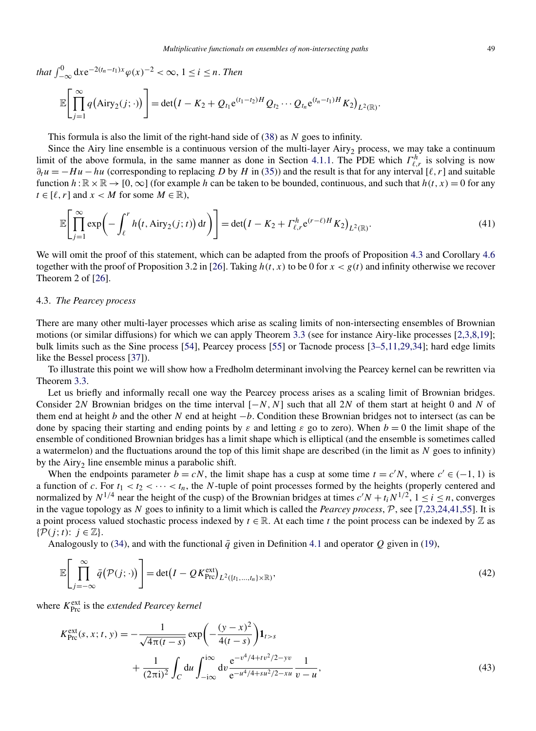<span id="page-21-0"></span>that 
$$
\int_{-\infty}^{0} dx e^{-2(t_n - t_1)x} \varphi(x)^{-2} < \infty, 1 \le i \le n. \text{ Then}
$$

$$
\mathbb{E}\Bigg[\prod_{j=1}^{\infty} q\big(\text{Airy}_2(j; \cdot)\big)\Bigg] = \det(I - K_2 + Q_{t_1}e^{(t_1 - t_2)H} Q_{t_2} \cdots Q_{t_n}e^{(t_n - t_1)H} K_2\big)_{L^2(\mathbb{R})}
$$

This formula is also the limit of the right-hand side of [\(38\)](#page-19-0) as *N* goes to infinity.

Since the Airy line ensemble is a continuous version of the multi-layer Airy<sub>2</sub> process, we may take a continuum limit of the above formula, in the same manner as done in Section [4.1.1.](#page-19-0) The PDE which  $\Gamma^h_{\ell,r}$  is solving is now  $\partial_t u = -Hu - hu$  (corresponding to replacing *D* by *H* in [\(35\)](#page-19-0)) and the result is that for any interval [ $\ell, r$ ] and suitable function  $h:\mathbb{R}\times\mathbb{R}\to [0,\infty]$  (for example h can be taken to be bounded, continuous, and such that  $h(t,x)=0$  for any  $t \in [\ell, r]$  and  $x < M$  for some  $M \in \mathbb{R}$ ),

$$
\mathbb{E}\Bigg[\prod_{j=1}^{\infty}\exp\bigg(-\int_{\ell}^{r}h\big(t,\mathrm{Airy}_{2}(j;t)\bigg)\mathrm{d}t\bigg)\Bigg]=\det\big(I-K_{2}+\Gamma_{\ell,r}^{h}e^{(r-\ell)H}K_{2}\big)_{L^{2}(\mathbb{R})}.\tag{41}
$$

We will omit the proof of this statement, which can be adapted from the proofs of Proposition [4.3](#page-19-0) and Corollary [4.6](#page-20-0) together with the proof of Proposition 3.2 in [\[26\]](#page-29-0). Taking  $h(t, x)$  to be 0 for  $x < g(t)$  and infinity otherwise we recover Theorem 2 of [\[26\]](#page-29-0).

## 4.3. *The Pearcey process*

There are many other multi-layer processes which arise as scaling limits of non-intersecting ensembles of Brownian motions (or similar diffusions) for which we can apply Theorem [3.3](#page-13-0) (see for instance Airy-like processes [\[2,3,8,19\]](#page-28-0); bulk limits such as the Sine process [\[54\]](#page-30-0), Pearcey process [\[55\]](#page-30-0) or Tacnode process [\[3–5,11,29,34\]](#page-28-0); hard edge limits like the Bessel process [\[37\]](#page-29-0)).

To illustrate this point we will show how a Fredholm determinant involving the Pearcey kernel can be rewritten via Theorem [3.3.](#page-13-0)

Let us briefly and informally recall one way the Pearcey process arises as a scaling limit of Brownian bridges. Consider 2*N* Brownian bridges on the time interval  $[-N, N]$  such that all 2*N* of them start at height 0 and *N* of them end at height *b* and the other *N* end at height −*b*. Condition these Brownian bridges not to intersect (as can be done by spacing their starting and ending points by  $\varepsilon$  and letting  $\varepsilon$  go to zero). When  $b = 0$  the limit shape of the ensemble of conditioned Brownian bridges has a limit shape which is elliptical (and the ensemble is sometimes called a watermelon) and the fluctuations around the top of this limit shape are described (in the limit as *N* goes to infinity) by the Airy<sub>2</sub> line ensemble minus a parabolic shift.

When the endpoints parameter  $b = cN$ , the limit shape has a cusp at some time  $t = c'N$ , where  $c' \in (-1, 1)$  is a function of c. For  $t_1 < t_2 < \cdots < t_n$ , the *N*-tuple of point processes formed by the heights (properly centered and normalized by  $N^{1/4}$  near the height of the cusp) of the Brownian bridges at times  $c'N + t_iN^{1/2}$ ,  $1 \le i \le n$ , converges in the vague topology as *N* goes to infinity to a limit which is called the *Pearcey process*, P, see [\[7,23,24,41,55\]](#page-29-0). It is a point process valued stochastic process indexed by  $t \in \mathbb{R}$ . At each time *t* the point process can be indexed by  $\mathbb{Z}$  as  $\{\mathcal{P}(j; t): j \in \mathbb{Z}\}.$ 

Analogously to [\(34\)](#page-18-0), and with the functional  $\bar{q}$  given in Definition [4.1](#page-18-0) and operator Q given in [\(19\)](#page-13-0),

$$
\mathbb{E}\left[\prod_{j=-\infty}^{\infty}\bar{q}\left(\mathcal{P}(j;\cdot)\right)\right]=\det\left(I-\mathcal{Q}K_{\text{Pre}}^{\text{ext}}\right)_{L^{2}(\lbrace t_{1},...,t_{n}\rbrace\times\mathbb{R})},\tag{42}
$$

where  $K_{\text{Pre}}^{\text{ext}}$  is the *extended Pearcey kernel* 

$$
K_{\text{Pro}}^{\text{ext}}(s, x; t, y) = -\frac{1}{\sqrt{4\pi(t - s)}} \exp\left(-\frac{(y - x)^2}{4(t - s)}\right) \mathbf{1}_{t > s} + \frac{1}{(2\pi i)^2} \int_C du \int_{-i\infty}^{i\infty} dv \frac{e^{-v^4/4 + tv^2/2 - yv}}{e^{-u^4/4 + su^2/2 - xu}} \frac{1}{v - u},
$$
(43)

*.*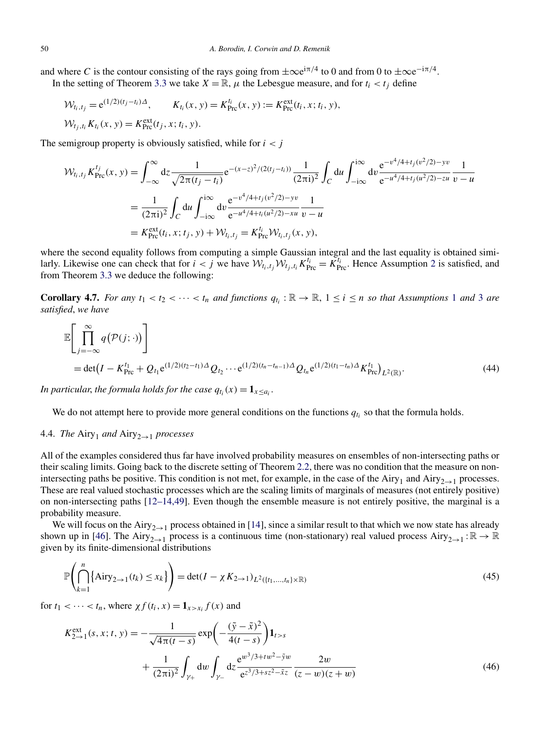<span id="page-22-0"></span>and where *C* is the contour consisting of the rays going from  $\pm \infty e^{i\pi/4}$  to 0 and from 0 to  $\pm \infty e^{-i\pi/4}$ . In the setting of Theorem [3.3](#page-13-0) we take  $X = \mathbb{R}$ ,  $\mu$  the Lebesgue measure, and for  $t_i < t_j$  define

$$
\mathcal{W}_{t_i, t_j} = e^{(1/2)(t_j - t_i)\Delta}, \qquad K_{t_i}(x, y) = K_{\text{Pro}}^{t_i}(x, y) := K_{\text{Pro}}^{\text{ext}}(t_i, x; t_i, y), \mathcal{W}_{t_j, t_i} K_{t_i}(x, y) = K_{\text{Pro}}^{\text{ext}}(t_j, x; t_i, y).
$$

The semigroup property is obviously satisfied, while for  $i < j$ 

$$
\mathcal{W}_{t_i, t_j} K_{\text{Pre}}^{t_j}(x, y) = \int_{-\infty}^{\infty} dz \frac{1}{\sqrt{2\pi(t_j - t_i)}} e^{-(x-z)^2/(2(t_j - t_i))} \frac{1}{(2\pi i)^2} \int_C du \int_{-i\infty}^{i\infty} dv \frac{e^{-v^4/4 + t_j(v^2/2) - yv}}{e^{-u^4/4 + t_j(u^2/2) - zu}} \frac{1}{v - u}
$$
  
\n
$$
= \frac{1}{(2\pi i)^2} \int_C du \int_{-i\infty}^{i\infty} dv \frac{e^{-v^4/4 + t_j(v^2/2) - yv}}{e^{-u^4/4 + t_i(u^2/2) - xu}} \frac{1}{v - u}
$$
  
\n
$$
= K_{\text{Pre}}^{\text{ext}}(t_i, x; t_j, y) + \mathcal{W}_{t_i, t_j} = K_{\text{Pre}}^{t_i} \mathcal{W}_{t_i, t_j}(x, y),
$$

where the second equality follows from computing a simple Gaussian integral and the last equality is obtained similarly. Likewise one can check that for  $i < j$  we have  $W_{t_i,t_j}W_{t_j,t_i}K_{\text{Pre}}^{t_i} = K_{\text{Pre}}^{t_i}$ . Hence Assumption [2](#page-12-0) is satisfied, and from Theorem [3.3](#page-13-0) we deduce the following:

**Corollary 4.7.** For any  $t_1 < t_2 < \cdots < t_n$  $t_1 < t_2 < \cdots < t_n$  $t_1 < t_2 < \cdots < t_n$  and functions  $q_{t_i} : \mathbb{R} \to \mathbb{R}$ ,  $1 \le i \le n$  so that Assumptions 1 and [3](#page-12-0) are *satisfied*, *we have*

$$
\mathbb{E}\left[\prod_{j=-\infty}^{\infty} q(\mathcal{P}(j; \cdot))\right]
$$
  
= det $(I - K_{\text{Pro}}^{t_1} + Q_{t_1}e^{(1/2)(t_2 - t_1)\Delta}Q_{t_2}\cdots e^{(1/2)(t_n - t_{n-1})\Delta}Q_{t_n}e^{(1/2)(t_1 - t_n)\Delta}K_{\text{Pro}}^{t_1})_{L^2(\mathbb{R})}.$  (44)

*In particular, the formula holds for the case*  $q_{t_i}(x) = \mathbf{1}_{x \leq a_i}$ .

We do not attempt here to provide more general conditions on the functions  $q_{t_i}$  so that the formula holds.

4.4. *The* Airy<sub>1</sub> and Airy<sub>2→1</sub> *processes* 

All of the examples considered thus far have involved probability measures on ensembles of non-intersecting paths or their scaling limits. Going back to the discrete setting of Theorem [2.2,](#page-8-0) there was no condition that the measure on nonintersecting paths be positive. This condition is not met, for example, in the case of the Airy<sub>1</sub> and Airy<sub>2→1</sub> processes. These are real valued stochastic processes which are the scaling limits of marginals of measures (not entirely positive) on non-intersecting paths [\[12–14,49\]](#page-29-0). Even though the ensemble measure is not entirely positive, the marginal is a probability measure.

We will focus on the Airy<sub>2→1</sub> process obtained in [\[14\]](#page-29-0), since a similar result to that which we now state has already shown up in [\[46\]](#page-30-0). The Airy<sub>2→1</sub> process is a continuous time (non-stationary) real valued process Airy<sub>2→1</sub> :  $\mathbb{R} \to \mathbb{R}$ given by its finite-dimensional distributions

$$
\mathbb{P}\left(\bigcap_{k=1}^{n} \{\text{Airy}_{2\to 1}(t_k) \le x_k\}\right) = \det(I - \chi K_{2\to 1})_{L^2(\{t_1, ..., t_n\} \times \mathbb{R})}
$$
(45)

for  $t_1 < \cdots < t_n$ , where  $\chi f(t_i, x) = \mathbf{1}_{x > x_i} f(x)$  and

$$
K_{2\to 1}^{\text{ext}}(s, x; t, y) = -\frac{1}{\sqrt{4\pi(t - s)}} \exp\left(-\frac{(\tilde{y} - \tilde{x})^2}{4(t - s)}\right) \mathbf{1}_{t > s} + \frac{1}{(2\pi i)^2} \int_{\gamma_+} dw \int_{\gamma_-} dz \frac{e^{w^3/3 + tw^2 - \tilde{y}w}}{e^{z^3/3 + sz^2 - \tilde{x}z}} \frac{2w}{(z - w)(z + w)}
$$
(46)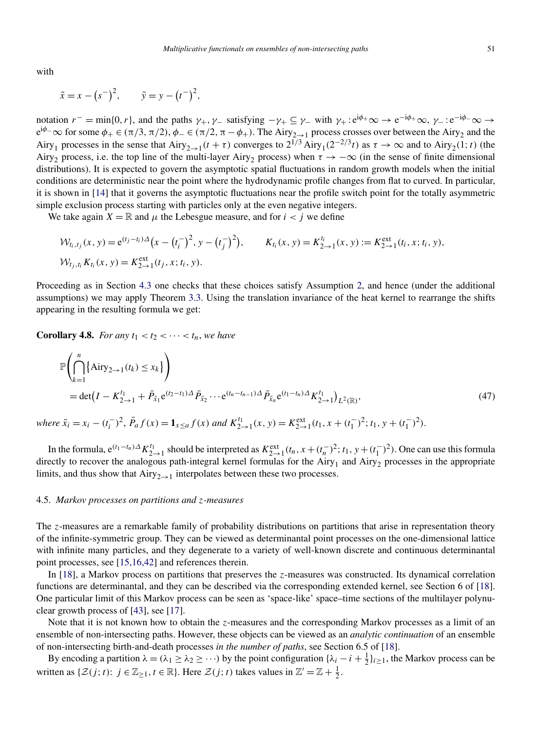<span id="page-23-0"></span>with

$$
\tilde{x} = x - (s^{-})^{2}, \qquad \tilde{y} = y - (t^{-})^{2},
$$

notation  $r^-$  = min{0*,r*}, and the paths  $\gamma_+$ ,  $\gamma_-$  satisfying  $-\gamma_+ \subseteq \gamma_-$  with  $\gamma_+$ :  $e^{i\phi_+}\infty \to e^{-i\phi_+}\infty$ ,  $\gamma_-$ :  $e^{-i\phi_-}\infty \to$  $e^{i\phi}$ − $\infty$  for some  $\phi_+ \in (\pi/3, \pi/2)$ ,  $\phi_- \in (\pi/2, \pi - \phi_+)$ . The Airy<sub>2→1</sub> process crosses over between the Airy<sub>2</sub> and the Airy<sub>1</sub> processes in the sense that Airy<sub>2→1</sub> $(t + \tau)$  converges to  $2^{1/3}$  Airy<sub>1</sub> $(2^{-2/3}t)$  as  $\tau \to \infty$  and to Airy<sub>2</sub>(1; t) (the Airy<sub>2</sub> process, i.e. the top line of the multi-layer Airy<sub>2</sub> process) when  $\tau \to -\infty$  (in the sense of finite dimensional distributions). It is expected to govern the asymptotic spatial fluctuations in random growth models when the initial conditions are deterministic near the point where the hydrodynamic profile changes from flat to curved. In particular, it is shown in [\[14\]](#page-29-0) that it governs the asymptotic fluctuations near the profile switch point for the totally asymmetric simple exclusion process starting with particles only at the even negative integers.

We take again  $X = \mathbb{R}$  and  $\mu$  the Lebesgue measure, and for  $i < j$  we define

$$
\mathcal{W}_{t_i,t_j}(x, y) = e^{(t_j - t_i)\Delta} (x - (t_i^{-})^2, y - (t_j^{-})^2), \qquad K_{t_i}(x, y) = K_{2 \to 1}^{t_i}(x, y) := K_{2 \to 1}^{\text{ext}}(t_i, x; t_i, y),
$$
  

$$
\mathcal{W}_{t_j,t_i} K_{t_i}(x, y) = K_{2 \to 1}^{\text{ext}}(t_j, x; t_i, y).
$$

Proceeding as in Section [4.3](#page-21-0) one checks that these choices satisfy Assumption [2,](#page-12-0) and hence (under the additional assumptions) we may apply Theorem [3.3.](#page-13-0) Using the translation invariance of the heat kernel to rearrange the shifts appearing in the resulting formula we get:

**Corollary 4.8.** *For any*  $t_1 < t_2 < \cdots < t_n$ , *we have* 

$$
\mathbb{P}\left(\bigcap_{k=1}^{n} \{\text{Airy}_{2\to 1}(t_k) \leq x_k\}\right)
$$
\n
$$
= \det(I - K_{2\to 1}^{t_1} + \bar{P}_{\tilde{x}_1}e^{(t_2 - t_1)\Delta}\bar{P}_{\tilde{x}_2}\cdots e^{(t_n - t_{n-1})\Delta}\bar{P}_{\tilde{x}_n}e^{(t_1 - t_n)\Delta}K_{2\to 1}^{t_1}\big)_{L^2(\mathbb{R})},
$$
\n(47)

where  $\tilde{x}_i = x_i - (t_i^{-})^2$ ,  $\bar{P}_a f(x) = \mathbf{1}_{x \le a} f(x)$  and  $K_{2 \to 1}^{t_1}(x, y) = K_{2 \to 1}^{\text{ext}}(t_1, x + (t_1^{-})^2; t_1, y + (t_1^{-})^2)$ .

In the formula,  $e^{(t_1 - t_n)\Delta} K_{2 \to 1}^{t_1}$  should be interpreted as  $K_{2 \to 1}^{\text{ext}}(t_n, x + (t_n^{-})^2; t_1, y + (t_1^{-})^2)$ . One can use this formula directly to recover the analogous path-integral kernel formulas for the Airy<sub>1</sub> and Airy<sub>2</sub> processes in the appropriate limits, and thus show that  $Airy_{2\rightarrow 1}$  interpolates between these two processes.

## 4.5. *Markov processes on partitions and z-measures*

The *z*-measures are a remarkable family of probability distributions on partitions that arise in representation theory of the infinite-symmetric group. They can be viewed as determinantal point processes on the one-dimensional lattice with infinite many particles, and they degenerate to a variety of well-known discrete and continuous determinantal point processes, see [\[15,16,42\]](#page-29-0) and references therein.

In [\[18\]](#page-29-0), a Markov process on partitions that preserves the *z*-measures was constructed. Its dynamical correlation functions are determinantal, and they can be described via the corresponding extended kernel, see Section 6 of [\[18\]](#page-29-0). One particular limit of this Markov process can be seen as 'space-like' space–time sections of the multilayer polynuclear growth process of [\[43\]](#page-29-0), see [\[17\]](#page-29-0).

Note that it is not known how to obtain the *z*-measures and the corresponding Markov processes as a limit of an ensemble of non-intersecting paths. However, these objects can be viewed as an *analytic continuation* of an ensemble of non-intersecting birth-and-death processes *in the number of paths*, see Section 6.5 of [\[18\]](#page-29-0).

By encoding a partition  $\lambda = (\lambda_1 \ge \lambda_2 \ge \cdots)$  by the point configuration  $\{\lambda_i - i + \frac{1}{2}\}_{i \ge 1}$ , the Markov process can be written as  $\{\mathcal{Z}(j; t): j \in \mathbb{Z}_{\geq 1}, t \in \mathbb{R}\}$ . Here  $\mathcal{Z}(j; t)$  takes values in  $\mathbb{Z}' = \mathbb{Z} + \frac{1}{2}$ .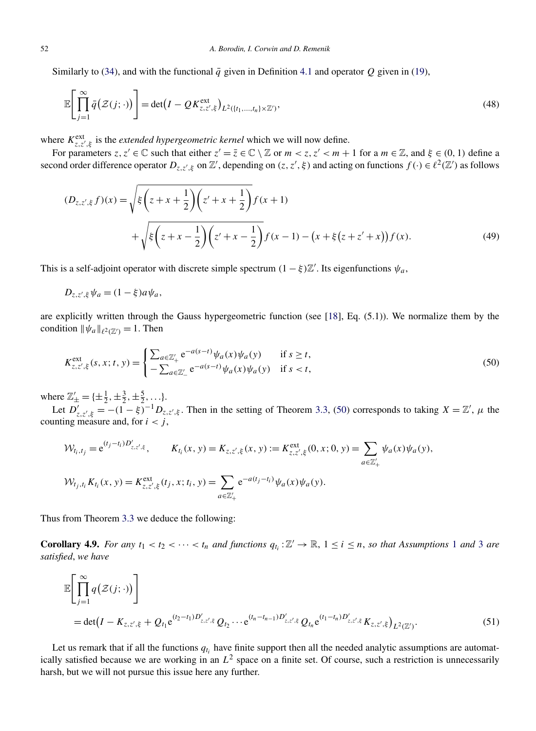Similarly to [\(34\)](#page-18-0), and with the functional  $\bar{q}$  given in Definition [4.1](#page-18-0) and operator  $Q$  given in [\(19\)](#page-13-0),

$$
\mathbb{E}\left[\prod_{j=1}^{\infty}\bar{q}\left(\mathcal{Z}(j;\cdot)\right)\right]=\det\left(I-\mathcal{Q}K_{z,z',\xi}^{\text{ext}}\right)_{L^{2}(\lbrace t_{1},...,t_{n}\rbrace\times\mathbb{Z}')},\tag{48}
$$

where  $K_{z, z', \xi}^{\text{ext}}$  is the *extended hypergeometric kernel* which we will now define.

For parameters  $z, z' \in \mathbb{C}$  such that either  $z' = \overline{z} \in \mathbb{C} \setminus \mathbb{Z}$  or  $m < z, z' < m + 1$  for a  $m \in \mathbb{Z}$ , and  $\xi \in (0, 1)$  define a second order difference operator  $D_{z,z',\xi}$  on  $\mathbb{Z}'$ , depending on  $(z,z',\xi)$  and acting on functions  $f(\cdot) \in \ell^2(\mathbb{Z}')$  as follows

$$
(D_{z,z',\xi}f)(x) = \sqrt{\xi \left(z + x + \frac{1}{2}\right) \left(z' + x + \frac{1}{2}\right)} f(x+1)
$$
  
+ 
$$
\sqrt{\xi \left(z + x - \frac{1}{2}\right) \left(z' + x - \frac{1}{2}\right)} f(x-1) - \left(x + \xi \left(z + z' + x\right)\right) f(x).
$$
 (49)

This is a self-adjoint operator with discrete simple spectrum  $(1 - \xi) \mathbb{Z}'$ . Its eigenfunctions  $\psi_a$ ,

$$
D_{z,z',\xi}\psi_a=(1-\xi)a\psi_a,
$$

are explicitly written through the Gauss hypergeometric function (see [\[18\]](#page-29-0), Eq. (5.1)). We normalize them by the condition  $\|\psi_a\|_{\ell^2(\mathbb{Z}')} = 1$ . Then

$$
K_{z,z',\xi}^{\text{ext}}(s,x;t,y) = \begin{cases} \sum_{a \in \mathbb{Z}_+'} e^{-a(s-t)} \psi_a(x) \psi_a(y) & \text{if } s \ge t, \\ -\sum_{a \in \mathbb{Z}_-'} e^{-a(s-t)} \psi_a(x) \psi_a(y) & \text{if } s < t, \end{cases}
$$
(50)

where  $\mathbb{Z}'_{\pm} = {\{\pm \frac{1}{2}, \pm \frac{3}{2}, \pm \frac{5}{2}, \ldots\}}.$ 

Let  $D'_{z,z',\xi} = -(1-\xi)^{-1}D_{z,z',\xi}$ . Then in the setting of Theorem [3.3,](#page-13-0) (50) corresponds to taking  $X = \mathbb{Z}'$ ,  $\mu$  the counting measure and, for  $i < j$ ,

$$
\mathcal{W}_{t_i,t_j} = e^{(t_j - t_i)D'_{z,z',\xi}}, \qquad K_{t_i}(x,y) = K_{z,z',\xi}(x,y) := K_{z,z',\xi}^{\text{ext}}(0,x;0,y) = \sum_{a \in \mathbb{Z}'_+} \psi_a(x)\psi_a(y),
$$
  

$$
\mathcal{W}_{t_j,t_i}K_{t_i}(x,y) = K_{z,z',\xi}^{\text{ext}}(t_j,x;t_i,y) = \sum_{a \in \mathbb{Z}'_+} e^{-a(t_j - t_i)} \psi_a(x)\psi_a(y).
$$

Thus from Theorem [3.3](#page-13-0) we deduce the following:

**Corollary 4.9.** For any  $t_1 < t_2 < \cdots < t_n$  $t_1 < t_2 < \cdots < t_n$  $t_1 < t_2 < \cdots < t_n$  and functions  $q_{t_i} : \mathbb{Z}' \to \mathbb{R}$ ,  $1 \le i \le n$ , so that Assumptions 1 and [3](#page-12-0) are *satisfied*, *we have*

$$
\mathbb{E}\left[\prod_{j=1}^{\infty} q(\mathcal{Z}(j; \cdot))\right]
$$
  
= det $(I - K_{z,z',\xi} + Q_{t_1}e^{(t_2 - t_1)D'_{z,z',\xi}}Q_{t_2}\cdots e^{(t_n - t_{n-1})D'_{z,z',\xi}}Q_{t_n}e^{(t_1 - t_n)D'_{z,z',\xi}}K_{z,z',\xi})_{L^2(\mathbb{Z}')}.$  (51)

Let us remark that if all the functions  $q_{t_i}$  have finite support then all the needed analytic assumptions are automatically satisfied because we are working in an *L*<sup>2</sup> space on a finite set. Of course, such a restriction is unnecessarily harsh, but we will not pursue this issue here any further.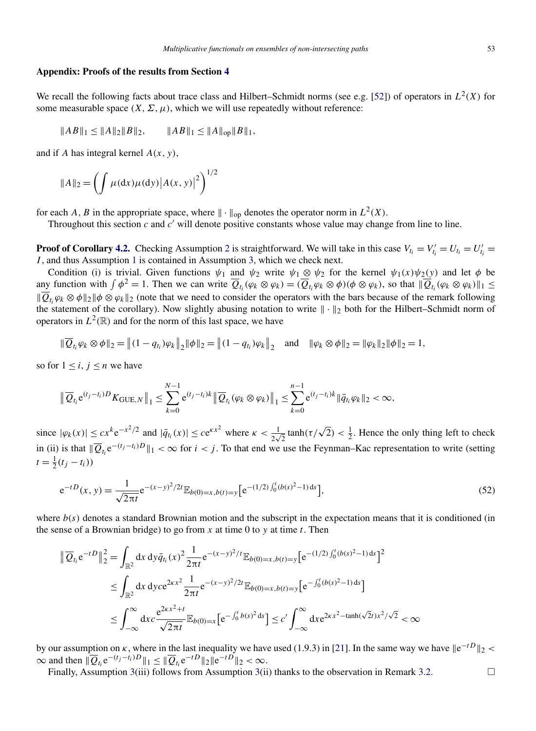#### <span id="page-25-0"></span>**Appendix: Proofs of the results from Section [4](#page-17-0)**

We recall the following facts about trace class and Hilbert–Schmidt norms (see e.g. [\[52\]](#page-30-0)) of operators in  $L^2(X)$  for some measurable space  $(X, \Sigma, \mu)$ , which we will use repeatedly without reference:

$$
||AB||_1 \le ||A||_2 ||B||_2, \qquad ||AB||_1 \le ||A||_{op} ||B||_1,
$$

and if *A* has integral kernel *A(x,y)*,

$$
||A||_2 = \left(\int \mu(dx)\mu(dy)|A(x, y)|^2\right)^{1/2}
$$

for each *A*, *B* in the appropriate space, where  $\|\cdot\|_{op}$  denotes the operator norm in  $L^2(X)$ .

Throughout this section *c* and *c* will denote positive constants whose value may change from line to line.

**Proof of Corollary [4.2.](#page-18-0)** Checking Assumption [2](#page-12-0) is straightforward. We will take in this case  $V_{t_i} = V'_{t_i} = U'_{t_i} = U'_{t_i}$ *I* , and thus Assumption [1](#page-12-0) is contained in Assumption [3,](#page-12-0) which we check next.

Condition (i) is trivial. Given functions  $\psi_1$  and  $\psi_2$  write  $\psi_1 \otimes \psi_2$  for the kernel  $\psi_1(x)\psi_2(y)$  and let  $\phi$  be any function with  $\int \phi^2 = 1$ . Then we can write  $\overline{Q}_{t_i}(\varphi_k \otimes \varphi_k) = (\overline{Q}_{t_i} \varphi_k \otimes \phi)(\phi \otimes \varphi_k)$ , so that  $\|\overline{Q}_{t_i}(\varphi_k \otimes \varphi_k)\|_1 \leq$  $\|\overline{Q}_{t_i}\varphi_k\otimes\varphi\|_2\|\varphi\otimes\varphi_k\|_2$  (note that we need to consider the operators with the bars because of the remark following the statement of the corollary). Now slightly abusing notation to write  $\|\cdot\|_2$  both for the Hilbert–Schmidt norm of operators in  $L^2(\mathbb{R})$  and for the norm of this last space, we have

$$
\|\overline{Q}_{t_i}\varphi_k \otimes \phi\|_2 = \|(1-q_{t_i})\varphi_k\|_2 \|\phi\|_2 = \|(1-q_{t_i})\varphi_k\|_2 \text{ and } \|\varphi_k \otimes \phi\|_2 = \|\varphi_k\|_2 \|\phi\|_2 = 1,
$$

so for  $1 \leq i, j \leq n$  we have

$$
\|\overline{Q}_{t_i}e^{(t_j-t_i)D}K_{\text{GUE},N}\|_1 \leq \sum_{k=0}^{N-1} e^{(t_j-t_i)k}\|\overline{Q}_{t_i}(\varphi_k \otimes \varphi_k)\|_1 \leq \sum_{k=0}^{n-1} e^{(t_j-t_i)k}\|\overline{q}_{t_i}\varphi_k\|_2 < \infty,
$$

since  $|\varphi_k(x)| \leq cx^k e^{-x^2/2}$  and  $|\bar{q}_{t_i}(x)| \leq ce^{\kappa x^2}$  where  $\kappa < \frac{1}{2\sqrt{2}} \tanh(\tau/\sqrt{2}) < \frac{1}{2}$ . Hence the only thing left to check in (ii) is that  $\|\overline{Q}_{t_i}e^{-(t_j-t_i)D}\|_1 < \infty$  for *i* < *j*. To that end we use the Feynman–Kac representation to write (setting  $t = \frac{1}{2}(t_j - t_i)$ 

$$
e^{-tD}(x, y) = \frac{1}{\sqrt{2\pi t}} e^{-(x-y)^2/2t} \mathbb{E}_{b(0)=x, b(t)=y} \left[ e^{-(1/2)\int_0^t (b(s)^2 - 1) \, ds} \right],\tag{52}
$$

where  $b(s)$  denotes a standard Brownian motion and the subscript in the expectation means that it is conditioned (in the sense of a Brownian bridge) to go from  $x$  at time 0 to  $y$  at time  $t$ . Then

$$
\|\overline{Q}_{t_i} e^{-tD}\|_2^2 = \int_{\mathbb{R}^2} dx \, dy \bar{q}_{t_i}(x)^2 \frac{1}{2\pi t} e^{-(x-y)^2/t} \mathbb{E}_{b(0)=x, b(t)=y} [e^{-(1/2) \int_0^t (b(s)^2 - 1) ds}]^2
$$
  
\n
$$
\leq \int_{\mathbb{R}^2} dx \, dy c e^{2\kappa x^2} \frac{1}{2\pi t} e^{-(x-y)^2/2t} \mathbb{E}_{b(0)=x, b(t)=y} [e^{-\int_0^t (b(s)^2 - 1) ds}]
$$
  
\n
$$
\leq \int_{-\infty}^{\infty} dx c \frac{e^{2\kappa x^2 + t}}{\sqrt{2\pi t}} \mathbb{E}_{b(0)=x} [e^{-\int_0^t b(s)^2 ds}] \leq c' \int_{-\infty}^{\infty} dx e^{2\kappa x^2 - \tanh(\sqrt{2}t)x^2/\sqrt{2}} < \infty
$$

by our assumption on *κ*, where in the last inequality we have used (1.9.3) in [\[21\]](#page-29-0). In the same way we have  $\|e^{-tD}\|_2 <$  $\infty$  and then  $\|\overline{Q}_{t_i}e^{-(t_j-t_i)D}\|_1 \leq \|\overline{Q}_{t_i}e^{-tD}\|_2\|e^{-tD}\|_2 < \infty$ .

Finally, Assumption [3\(](#page-12-0)iii) follows from Assumption 3(ii) thanks to the observation in Remark [3.2.](#page-13-0)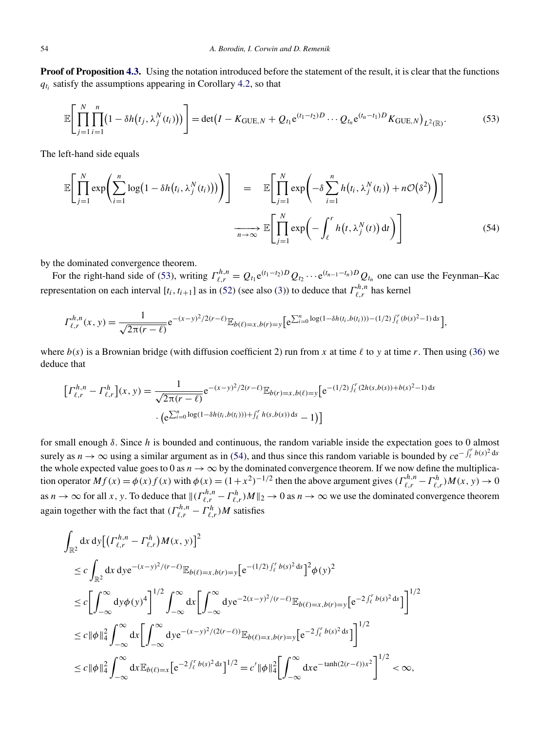<span id="page-26-0"></span>**Proof of Proposition [4.3.](#page-19-0)** Using the notation introduced before the statement of the result, it is clear that the functions  $q_{t_i}$  satisfy the assumptions appearing in Corollary [4.2,](#page-18-0) so that

$$
\mathbb{E}\Bigg[\prod_{j=1}^{N}\prod_{i=1}^{n}\big(1-\delta h(t_j,\lambda_j^N(t_i))\big)\Bigg]=\det\big(I-K_{\text{GUE},N}+Q_{t_1}e^{(t_1-t_2)D}\cdots Q_{t_n}e^{(t_n-t_1)D}K_{\text{GUE},N}\big)_{L^2(\mathbb{R})}.\tag{53}
$$

The left-hand side equals

$$
\mathbb{E}\Bigg[\prod_{j=1}^{N}\exp\Bigg(\sum_{i=1}^{n}\log\big(1-\delta h(t_{i},\lambda_{j}^{N}(t_{i})\big)\big)\Bigg)\Bigg] = \mathbb{E}\Bigg[\prod_{j=1}^{N}\exp\Bigg(-\delta\sum_{i=1}^{n}h(t_{i},\lambda_{j}^{N}(t_{i}))+n\mathcal{O}(\delta^{2})\Bigg)\Bigg]
$$

$$
\xrightarrow[n\to\infty]{}\mathbb{E}\Bigg[\prod_{j=1}^{N}\exp\Bigg(-\int_{\ell}^{r}h(t,\lambda_{j}^{N}(t))\,dt\Bigg)\Bigg]
$$
(54)

by the dominated convergence theorem.

For the right-hand side of (53), writing  $\Gamma_{\ell,r}^{h,n} = Q_{t_1} e^{(t_1-t_2)D} Q_{t_2} \cdots e^{(t_{n-1}-t_n)D} Q_{t_n}$  one can use the Feynman–Kac representation on each interval  $[t_i, t_{i+1}]$  as in [\(52\)](#page-25-0) (see also [\(3\)](#page-1-0)) to deduce that  $\Gamma^{h,n}_{\ell,r}$  has kernel

$$
\Gamma_{\ell,r}^{h,n}(x,y) = \frac{1}{\sqrt{2\pi(r-\ell)}} e^{-(x-y)^2/2(r-\ell)} \mathbb{E}_{b(\ell)=x,b(r)=y} \Big[ e^{\sum_{i=0}^n \log(1-\delta h(t_i,b(t_i)))-(1/2)\int_{\ell}^r (b(s)^2-1) \,ds} \Big],
$$

where  $b(s)$  is a Brownian bridge (with diffusion coefficient 2) run from *x* at time  $\ell$  to *y* at time *r*. Then using [\(36\)](#page-19-0) we deduce that

$$
\left[\Gamma_{\ell,r}^{h,n} - \Gamma_{\ell,r}^{h}\right](x,y) = \frac{1}{\sqrt{2\pi(r-\ell)}} e^{-(x-y)^2/2(r-\ell)} \mathbb{E}_{b(r)=x,b(\ell)=y} \left[e^{-(1/2)\int_{\ell}^{r} (2h(s,b(s))+b(s)^2-1) ds}\right.
$$

$$
\cdot \left(e^{\sum_{i=0}^{n} \log(1-\delta h(t_i,b(t_i))) + \int_{\ell}^{r} h(s,b(s)) ds} - 1\right)
$$

for small enough *δ*. Since *h* is bounded and continuous, the random variable inside the expectation goes to 0 almost surely as *n* → ∞ using a similar argument as in (54), and thus since this random variable is bounded by  $ce^{-\int_{\ell}^{r} b(s)^2 ds}$ the whole expected value goes to 0 as  $n \to \infty$  by the dominated convergence theorem. If we now define the multiplication operator  $Mf(x) = \phi(x)f(x)$  with  $\phi(x) = (1+x^2)^{-1/2}$  then the above argument gives  $(\Gamma^{h,n}_{\ell,r} - \Gamma^{h}_{\ell,r})M(x, y) \to 0$ as  $n \to \infty$  for all *x*, *y*. To deduce that  $\|( \Gamma_{\ell,r}^{h,n} - \Gamma_{\ell,r}^h)M\|_2 \to 0$  as  $n \to \infty$  we use the dominated convergence theorem again together with the fact that  $(\Gamma^{h,n}_{\ell,r} - \Gamma^{h}_{\ell,r})M$  satisfies

$$
\int_{\mathbb{R}^2} dx dy \left[ \left( \Gamma_{\ell,r}^{h,n} - \Gamma_{\ell,r}^h \right) M(x,y) \right]^2
$$
\n
$$
\leq c \int_{\mathbb{R}^2} dx dy e^{-(x-y)^2/(r-\ell)} \mathbb{E}_{b(\ell)=x,b(r)=y} \left[ e^{-(1/2) \int_{\ell}^r b(s)^2 ds} \right]^2 \phi(y)^2
$$
\n
$$
\leq c \left[ \int_{-\infty}^{\infty} dy \phi(y)^4 \right]^{1/2} \int_{-\infty}^{\infty} dx \left[ \int_{-\infty}^{\infty} dy e^{-2(x-y)^2/(r-\ell)} \mathbb{E}_{b(\ell)=x,b(r)=y} \left[ e^{-2 \int_{\ell}^r b(s)^2 ds} \right] \right]^{1/2}
$$
\n
$$
\leq c \|\phi\|_4^2 \int_{-\infty}^{\infty} dx \left[ \int_{-\infty}^{\infty} dy e^{-(x-y)^2/(2(r-\ell))} \mathbb{E}_{b(\ell)=x,b(r)=y} \left[ e^{-2 \int_{\ell}^r b(s)^2 ds} \right] \right]^{1/2}
$$
\n
$$
\leq c \|\phi\|_4^2 \int_{-\infty}^{\infty} dx \mathbb{E}_{b(\ell)=x} \left[ e^{-2 \int_{\ell}^r b(s)^2 ds} \right]^{1/2} = c' \|\phi\|_4^2 \left[ \int_{-\infty}^{\infty} dx e^{-\tanh(2(r-\ell))x^2} \right]^{1/2} < \infty,
$$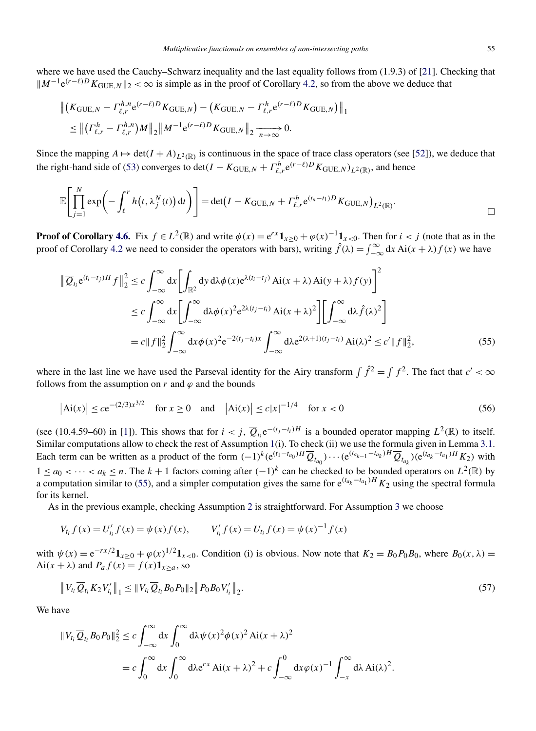<span id="page-27-0"></span>where we have used the Cauchy–Schwarz inequality and the last equality follows from (1.9.3) of [\[21\]](#page-29-0). Checking that  $M^{-1}e^{(r-\ell)D}K_{\text{GUE},N}||_2 < \infty$  is simple as in the proof of Corollary [4.2,](#page-18-0) so from the above we deduce that

$$
\| (K_{\text{GUE},N} - \Gamma_{\ell,r}^{h,n} e^{(r-\ell)D} K_{\text{GUE},N}) - (K_{\text{GUE},N} - \Gamma_{\ell,r}^{h} e^{(r-\ell)D} K_{\text{GUE},N}) \|_1
$$
  
\n
$$
\leq \| (\Gamma_{\ell,r}^{h} - \Gamma_{\ell,r}^{h,n}) M \|_2 \| M^{-1} e^{(r-\ell)D} K_{\text{GUE},N} \|_2 \xrightarrow[n \to \infty]{} 0.
$$

Since the mapping  $A \mapsto \det(I + A)_{L^2(\mathbb{R})}$  is continuous in the space of trace class operators (see [\[52\]](#page-30-0)), we deduce that the right-hand side of [\(53\)](#page-26-0) converges to det $(I - K_{\text{GUE},N} + \Gamma_{\ell,r}^{h} e^{(r-\ell)D} K_{\text{GUE},N}$ )<sub>L<sup>2</sup>(ℝ)</sub>, and hence

$$
\mathbb{E}\Bigg[\prod_{j=1}^N \exp\bigg(-\int_{\ell}^r h\big(t,\lambda_j^N(t)\bigg)\,\mathrm{d}t\bigg)\Bigg] = \det\big(I-K_{\text{GUE},N}+ \Gamma_{\ell,r}^h e^{(t_n-t_1)D} K_{\text{GUE},N}\big)_{L^2(\mathbb{R})}.
$$

**Proof of Corollary [4.6.](#page-20-0)** Fix  $f \in L^2(\mathbb{R})$  and write  $\phi(x) = e^{rx}\mathbf{1}_{x>0} + \phi(x)^{-1}\mathbf{1}_{x<0}$ . Then for  $i < j$  (note that as in the proof of Corollary [4.2](#page-18-0) we need to consider the operators with bars), writing  $\hat{f}(\lambda) = \int_{-\infty}^{\infty} dx A i(x + \lambda) f(x)$  we have

$$
\|\overline{Q}_{t_i} e^{(t_i - t_j)H} f\|_2^2 \le c \int_{-\infty}^{\infty} dx \left[ \int_{\mathbb{R}^2} dy \, d\lambda \phi(x) e^{\lambda(t_i - t_j)} \, Ai(x + \lambda) Ai(y + \lambda) f(y) \right]^2
$$
  
\n
$$
\le c \int_{-\infty}^{\infty} dx \left[ \int_{-\infty}^{\infty} d\lambda \phi(x)^2 e^{2\lambda(t_j - t_i)} \, Ai(x + \lambda)^2 \right] \left[ \int_{-\infty}^{\infty} d\lambda \hat{f}(\lambda)^2 \right]
$$
  
\n
$$
= c \|f\|_2^2 \int_{-\infty}^{\infty} dx \phi(x)^2 e^{-2(t_j - t_i)x} \int_{-\infty}^{\infty} d\lambda e^{2(\lambda + 1)(t_j - t_i)} Ai(\lambda)^2 \le c' \|f\|_2^2,
$$
 (55)

where in the last line we have used the Parseval identity for the Airy transform  $\int \hat{f}^2 = \int f^2$ . The fact that  $c' < \infty$ follows from the assumption on  $r$  and  $\varphi$  and the bounds

$$
|\text{Ai}(x)| \le c e^{-(2/3)x^{3/2}} \quad \text{for } x \ge 0 \quad \text{and} \quad |\text{Ai}(x)| \le c|x|^{-1/4} \quad \text{for } x < 0 \tag{56}
$$

(see (10.4.59–60) in [\[1\]](#page-28-0)). This shows that for  $i < j$ ,  $\overline{Q}_{t_i}e^{-(t_j-t_i)H}$  is a bounded operator mapping  $L^2(\mathbb{R})$  to itself. Similar computations allow to check the rest of Assumption [1\(](#page-12-0)i). To check (ii) we use the formula given in Lemma [3.1.](#page-13-0) Each term can be written as a product of the form  $(-1)^k (e^{(t_1-t_{a_0})H} \overline{Q}_{t_{a_0}}) \cdots (e^{(t_{a_{k-1}}-t_{a_k})H} \overline{Q}_{t_{a_k}}) (e^{(t_{a_k}-t_{a_1})H} K_2)$  with  $1 ≤ a_0 < \cdots < a_k ≤ n$ . The  $k + 1$  factors coming after  $(-1)^k$  can be checked to be bounded operators on  $L^2(\mathbb{R})$  by a computation similar to (55), and a simpler computation gives the same for  $e^{(t_{a_k} - t_{a_1})H} K_2$  using the spectral formula for its kernel.

As in the previous example, checking Assumption [2](#page-12-0) is straightforward. For Assumption [3](#page-12-0) we choose

$$
V_{t_i} f(x) = U'_{t_i} f(x) = \psi(x) f(x), \qquad V'_{t_i} f(x) = U_{t_i} f(x) = \psi(x)^{-1} f(x)
$$

with  $\psi(x) = e^{-rx/2} \mathbf{1}_{x \ge 0} + \varphi(x)^{1/2} \mathbf{1}_{x < 0}$ . Condition (i) is obvious. Now note that  $K_2 = B_0 P_0 B_0$ , where  $B_0(x, \lambda) =$  $Ai(x + \lambda)$  and  $P_a f(x) = f(x) \mathbf{1}_{x>a}$ , so

$$
\|V_{t_i}\overline{Q}_{t_i}K_2V'_{t_i}\|_1 \leq \|V_{t_i}\overline{Q}_{t_i}B_0P_0\|_2 \|P_0B_0V'_{t_i}\|_2.
$$
\n
$$
(57)
$$

We have

$$
||V_{t_i}\overline{Q}_{t_i}B_0P_0||_2^2 \le c \int_{-\infty}^{\infty} dx \int_0^{\infty} d\lambda \psi(x)^2 \phi(x)^2 Ai(x + \lambda)^2
$$
  
=  $c \int_0^{\infty} dx \int_0^{\infty} d\lambda e^{rx} Ai(x + \lambda)^2 + c \int_{-\infty}^0 dx \phi(x)^{-1} \int_{-x}^{\infty} d\lambda Ai(\lambda)^2.$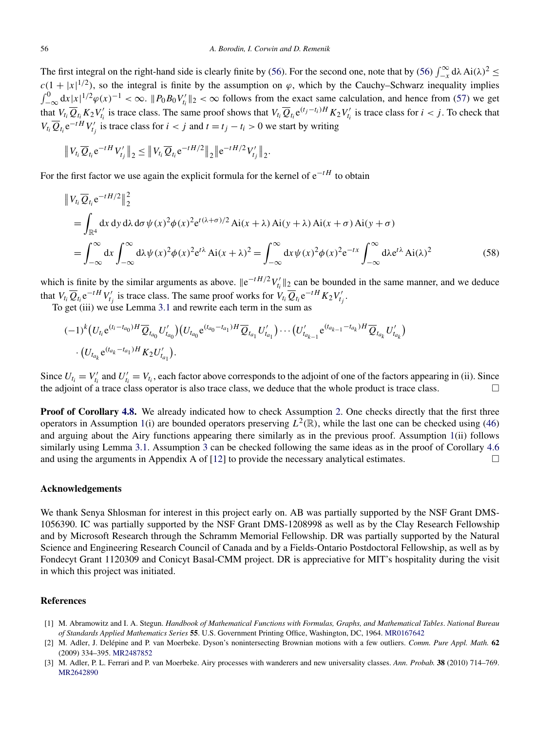<span id="page-28-0"></span>The first integral on the right-hand side is clearly finite by [\(56\)](#page-27-0). For the second one, note that by (56)  $\int_{-\infty}^{\infty} d\lambda \text{ Ai}(\lambda)^2 \leq$  $c(1+|x|^{1/2})$ , so the integral is finite by the assumption on  $\varphi$ , which by the Cauchy–Schwarz inequality implies  $\int_{-\infty}^{0} dx |x|^{1/2} \varphi(x)^{-1} < \infty$ .  $||P_0 B_0 V'_{t_i}||_2 < \infty$  follows from the exact same calculation, and hence from [\(57\)](#page-27-0) we get that  $V_{t_i} \overline{Q}_{t_i} K_2 V'_{t_i}$  is trace class. The same proof shows that  $V_{t_i} \overline{Q}_{t_i} e^{(t_j - t_i)H} K_2 V'_{t_i}$  is trace class for  $i < j$ . To check that  $V_{t_i} \overline{Q}_{t_i} e^{-tH} V'_{t_j}$  is trace class for  $i < j$  and  $t = t_j - t_i > 0$  we start by writing

$$
\|V_{t_i}\overline{Q}_{t_i}e^{-tH}V'_{t_j}\|_2 \leq \|V_{t_i}\overline{Q}_{t_i}e^{-tH/2}\|_2\|e^{-tH/2}V'_{t_j}\|_2.
$$

For the first factor we use again the explicit formula for the kernel of e−*tH* to obtain

$$
\begin{split} &\left\|V_{t_{i}}\overline{Q}_{t_{i}}e^{-tH/2}\right\|_{2}^{2} \\ &=\int_{\mathbb{R}^{4}}dx\,dy\,d\lambda\,d\sigma\,\psi(x)^{2}\phi(x)^{2}e^{t(\lambda+\sigma)/2}\,\mathrm{Ai}(x+\lambda)\,\mathrm{Ai}(y+\lambda)\,\mathrm{Ai}(x+\sigma)\,\mathrm{Ai}(y+\sigma) \\ &=\int_{-\infty}^{\infty}dx\int_{-\infty}^{\infty}d\lambda\,\psi(x)^{2}\phi(x)^{2}e^{t\lambda}\,\mathrm{Ai}(x+\lambda)^{2} =\int_{-\infty}^{\infty}dx\,\psi(x)^{2}\phi(x)^{2}e^{-tx}\int_{-\infty}^{\infty}d\lambda e^{t\lambda}\,\mathrm{Ai}(\lambda)^{2} \end{split} \tag{58}
$$

which is finite by the similar arguments as above.  $||e^{-tH/2}V'_{t_i}||_2$  can be bounded in the same manner, and we deduce that  $V_{t_i} \overline{Q}_{t_i} e^{-tH} V'_{t_j}$  is trace class. The same proof works for  $V_{t_i} \overline{Q}_{t_i} e^{-tH} K_2 V'_{t_j}$ .

To get (iii) we use Lemma [3.1](#page-13-0) and rewrite each term in the sum as

$$
(-1)^{k} (U_{t_{i}} e^{(t_{i}-t_{a_{0}})H} \overline{Q}_{t_{a_{0}}} U'_{t_{a_{0}}}) (U_{t_{a_{0}}} e^{(t_{a_{0}}-t_{a_{1}})H} \overline{Q}_{t_{a_{1}}} U'_{t_{a_{1}}}) \cdots (U'_{t_{a_{k-1}}} e^{(t_{a_{k-1}}-t_{a_{k}})H} \overline{Q}_{t_{a_{k}}} U'_{t_{a_{k}}})
$$

$$
\cdot (U_{t_{a_{k}}} e^{(t_{a_{k}}-t_{a_{1}})H} K_{2} U'_{t_{a_{1}}}).
$$

Since  $U_{t_i} = V'_{t_i}$  and  $U'_{t_i} = V_{t_i}$ , each factor above corresponds to the adjoint of one of the factors appearing in (ii). Since the adjoint of a trace class operator is also trace class, we deduce that the whole product is trace class. - $\Box$ 

**Proof of Corollary [4.8.](#page-23-0)** We already indicated how to check Assumption [2.](#page-12-0) One checks directly that the first three operators in Assumption [1\(](#page-12-0)i) are bounded operators preserving  $L^2(\mathbb{R})$ , while the last one can be checked using [\(46\)](#page-22-0) and arguing about the Airy functions appearing there similarly as in the previous proof. Assumption [1\(](#page-12-0)ii) follows similarly using Lemma [3.1.](#page-13-0) Assumption [3](#page-12-0) can be checked following the same ideas as in the proof of Corollary [4.6](#page-20-0) and using the arguments in Appendix A of [\[12\]](#page-29-0) to provide the necessary analytical estimates. - $\Box$ 

## **Acknowledgements**

We thank Senya Shlosman for interest in this project early on. AB was partially supported by the NSF Grant DMS-1056390. IC was partially supported by the NSF Grant DMS-1208998 as well as by the Clay Research Fellowship and by Microsoft Research through the Schramm Memorial Fellowship. DR was partially supported by the Natural Science and Engineering Research Council of Canada and by a Fields-Ontario Postdoctoral Fellowship, as well as by Fondecyt Grant 1120309 and Conicyt Basal-CMM project. DR is appreciative for MIT's hospitality during the visit in which this project was initiated.

## **References**

- [1] M. Abramowitz and I. A. Stegun. *Handbook of Mathematical Functions with Formulas, Graphs, and Mathematical Tables*. *National Bureau of Standards Applied Mathematics Series* **55**. U.S. Government Printing Office, Washington, DC, 1964. [MR0167642](http://www.ams.org/mathscinet-getitem?mr=0167642)
- [2] M. Adler, J. Delépine and P. van Moerbeke. Dyson's nonintersecting Brownian motions with a few outliers. *Comm. Pure Appl. Math.* **62** (2009) 334–395. [MR2487852](http://www.ams.org/mathscinet-getitem?mr=2487852)
- [3] M. Adler, P. L. Ferrari and P. van Moerbeke. Airy processes with wanderers and new universality classes. *Ann. Probab.* **38** (2010) 714–769. [MR2642890](http://www.ams.org/mathscinet-getitem?mr=2642890)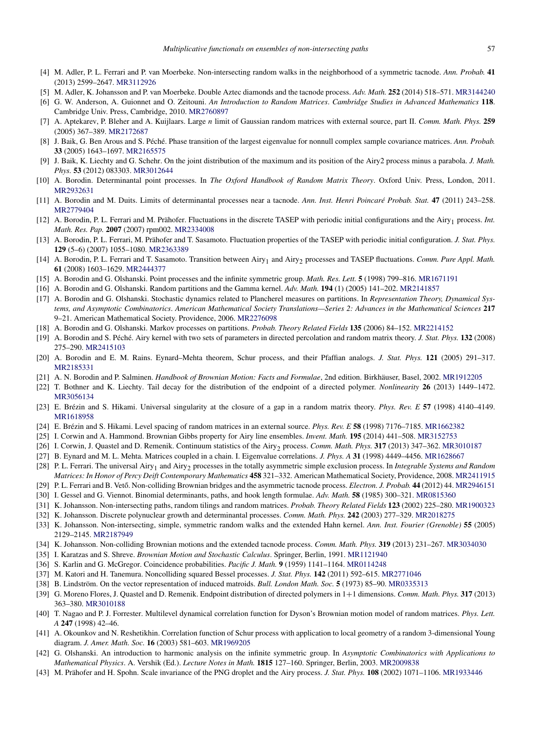- <span id="page-29-0"></span>[4] M. Adler, P. L. Ferrari and P. van Moerbeke. Non-intersecting random walks in the neighborhood of a symmetric tacnode. *Ann. Probab.* **41** (2013) 2599–2647. [MR3112926](http://www.ams.org/mathscinet-getitem?mr=3112926)
- [5] M. Adler, K. Johansson and P. van Moerbeke. Double Aztec diamonds and the tacnode process. *Adv. Math.* **252** (2014) 518–571. [MR3144240](http://www.ams.org/mathscinet-getitem?mr=3144240)
- [6] G. W. Anderson, A. Guionnet and O. Zeitouni. *An Introduction to Random Matrices*. *Cambridge Studies in Advanced Mathematics* **118**. Cambridge Univ. Press, Cambridge, 2010. [MR2760897](http://www.ams.org/mathscinet-getitem?mr=2760897)
- [7] A. Aptekarev, P. Bleher and A. Kuijlaars. Large *n* limit of Gaussian random matrices with external source, part II. *Comm. Math. Phys.* **259** (2005) 367–389. [MR2172687](http://www.ams.org/mathscinet-getitem?mr=2172687)
- [8] J. Baik, G. Ben Arous and S. Péché. Phase transition of the largest eigenvalue for nonnull complex sample covariance matrices. *Ann. Probab.* **33** (2005) 1643–1697. [MR2165575](http://www.ams.org/mathscinet-getitem?mr=2165575)
- [9] J. Baik, K. Liechty and G. Schehr. On the joint distribution of the maximum and its position of the Airy2 process minus a parabola. *J. Math. Phys.* **53** (2012) 083303. [MR3012644](http://www.ams.org/mathscinet-getitem?mr=3012644)
- [10] A. Borodin. Determinantal point processes. In *The Oxford Handbook of Random Matrix Theory*. Oxford Univ. Press, London, 2011. [MR2932631](http://www.ams.org/mathscinet-getitem?mr=2932631)
- [11] A. Borodin and M. Duits. Limits of determinantal processes near a tacnode. *Ann. Inst. Henri Poincaré Probab. Stat.* **47** (2011) 243–258. [MR2779404](http://www.ams.org/mathscinet-getitem?mr=2779404)
- [12] A. Borodin, P. L. Ferrari and M. Prähofer. Fluctuations in the discrete TASEP with periodic initial configurations and the Airy1 process. *Int. Math. Res. Pap.* **2007** (2007) rpm002. [MR2334008](http://www.ams.org/mathscinet-getitem?mr=2334008)
- [13] A. Borodin, P. L. Ferrari, M. Prähofer and T. Sasamoto. Fluctuation properties of the TASEP with periodic initial configuration. *J. Stat. Phys.* **129** (5–6) (2007) 1055–1080. [MR2363389](http://www.ams.org/mathscinet-getitem?mr=2363389)
- [14] A. Borodin, P. L. Ferrari and T. Sasamoto. Transition between Airy<sub>1</sub> and Airy<sub>2</sub> processes and TASEP fluctuations. *Comm. Pure Appl. Math.* **61** (2008) 1603–1629. [MR2444377](http://www.ams.org/mathscinet-getitem?mr=2444377)
- [15] A. Borodin and G. Olshanski. Point processes and the infinite symmetric group. *Math. Res. Lett.* **5** (1998) 799–816. [MR1671191](http://www.ams.org/mathscinet-getitem?mr=1671191)
- [16] A. Borodin and G. Olshanski. Random partitions and the Gamma kernel. *Adv. Math.* **194** (1) (2005) 141–202. [MR2141857](http://www.ams.org/mathscinet-getitem?mr=2141857)
- [17] A. Borodin and G. Olshanski. Stochastic dynamics related to Plancherel measures on partitions. In *Representation Theory, Dynamical Systems, and Asymptotic Combinatorics*. *American Mathematical Society Translations—Series 2: Advances in the Mathematical Sciences* **217** 9–21. American Mathematical Society. Providence, 2006. [MR2276098](http://www.ams.org/mathscinet-getitem?mr=2276098)
- [18] A. Borodin and G. Olshanski. Markov processes on partitions. *Probab. Theory Related Fields* **135** (2006) 84–152. [MR2214152](http://www.ams.org/mathscinet-getitem?mr=2214152)
- [19] A. Borodin and S. Péché. Airy kernel with two sets of parameters in directed percolation and random matrix theory. *J. Stat. Phys.* **132** (2008) 275–290. [MR2415103](http://www.ams.org/mathscinet-getitem?mr=2415103)
- [20] A. Borodin and E. M. Rains. Eynard–Mehta theorem, Schur process, and their Pfaffian analogs. *J. Stat. Phys.* **121** (2005) 291–317. [MR2185331](http://www.ams.org/mathscinet-getitem?mr=2185331)
- [21] A. N. Borodin and P. Salminen. *Handbook of Brownian Motion: Facts and Formulae*, 2nd edition. Birkhäuser, Basel, 2002. [MR1912205](http://www.ams.org/mathscinet-getitem?mr=1912205)
- [22] T. Bothner and K. Liechty. Tail decay for the distribution of the endpoint of a directed polymer. *Nonlinearity* **26** (2013) 1449–1472. [MR3056134](http://www.ams.org/mathscinet-getitem?mr=3056134)
- [23] E. Brézin and S. Hikami. Universal singularity at the closure of a gap in a random matrix theory. *Phys. Rev. E* **57** (1998) 4140–4149. [MR1618958](http://www.ams.org/mathscinet-getitem?mr=1618958)
- [24] E. Brézin and S. Hikami. Level spacing of random matrices in an external source. *Phys. Rev. E* **58** (1998) 7176–7185. [MR1662382](http://www.ams.org/mathscinet-getitem?mr=1662382)
- [25] I. Corwin and A. Hammond. Brownian Gibbs property for Airy line ensembles. *Invent. Math.* **195** (2014) 441–508. [MR3152753](http://www.ams.org/mathscinet-getitem?mr=3152753)
- [26] I. Corwin, J. Quastel and D. Remenik. Continuum statistics of the Airy<sub>2</sub> process. *Comm. Math. Phys.* **317** (2013) 347-362. [MR3010187](http://www.ams.org/mathscinet-getitem?mr=3010187)
- [27] B. Eynard and M. L. Mehta. Matrices coupled in a chain. I. Eigenvalue correlations. *J. Phys. A* **31** (1998) 4449–4456. [MR1628667](http://www.ams.org/mathscinet-getitem?mr=1628667)
- [28] P. L. Ferrari. The universal Airy<sub>1</sub> and Airy<sub>2</sub> processes in the totally asymmetric simple exclusion process. In *Integrable Systems and Random Matrices: In Honor of Percy Deift Contemporary Mathematics* **458** 321–332. American Mathematical Society, Providence, 2008. [MR2411915](http://www.ams.org/mathscinet-getitem?mr=2411915)
- [29] P. L. Ferrari and B. Vető. Non-colliding Brownian bridges and the asymmetric tacnode process. *Electron. J. Probab.* **44** (2012) 44. [MR2946151](http://www.ams.org/mathscinet-getitem?mr=2946151)
- [30] I. Gessel and G. Viennot. Binomial determinants, paths, and hook length formulae. *Adv. Math.* **58** (1985) 300–321. [MR0815360](http://www.ams.org/mathscinet-getitem?mr=0815360)
- [31] K. Johansson. Non-intersecting paths, random tilings and random matrices. *Probab. Theory Related Fields* **123** (2002) 225–280. [MR1900323](http://www.ams.org/mathscinet-getitem?mr=1900323)
- [32] K. Johansson. Discrete polynuclear growth and determinantal processes. *Comm. Math. Phys.* **242** (2003) 277–329. [MR2018275](http://www.ams.org/mathscinet-getitem?mr=2018275)
- [33] K. Johansson. Non-intersecting, simple, symmetric random walks and the extended Hahn kernel. *Ann. Inst. Fourier (Grenoble)* **55** (2005) 2129–2145. [MR2187949](http://www.ams.org/mathscinet-getitem?mr=2187949)
- [34] K. Johansson. Non-colliding Brownian motions and the extended tacnode process. *Comm. Math. Phys.* **319** (2013) 231–267. [MR3034030](http://www.ams.org/mathscinet-getitem?mr=3034030)
- [35] I. Karatzas and S. Shreve. *Brownian Motion and Stochastic Calculus*. Springer, Berlin, 1991. [MR1121940](http://www.ams.org/mathscinet-getitem?mr=1121940)
- [36] S. Karlin and G. McGregor. Coincidence probabilities. *Pacific J. Math.* **9** (1959) 1141–1164. [MR0114248](http://www.ams.org/mathscinet-getitem?mr=0114248)
- [37] M. Katori and H. Tanemura. Noncolliding squared Bessel processes. *J. Stat. Phys.* **142** (2011) 592–615. [MR2771046](http://www.ams.org/mathscinet-getitem?mr=2771046)
- [38] B. Lindström. On the vector representation of induced matroids. *Bull. London Math. Soc.* **5** (1973) 85–90. [MR0335313](http://www.ams.org/mathscinet-getitem?mr=0335313)
- [39] G. Moreno Flores, J. Quastel and D. Remenik. Endpoint distribution of directed polymers in 1+1 dimensions. *Comm. Math. Phys.* **317** (2013) 363–380. [MR3010188](http://www.ams.org/mathscinet-getitem?mr=3010188)
- [40] T. Nagao and P. J. Forrester. Multilevel dynamical correlation function for Dyson's Brownian motion model of random matrices. *Phys. Lett. A* **247** (1998) 42–46.
- [41] A. Okounkov and N. Reshetikhin. Correlation function of Schur process with application to local geometry of a random 3-dimensional Young diagram. *J. Amer. Math. Soc.* **16** (2003) 581–603. [MR1969205](http://www.ams.org/mathscinet-getitem?mr=1969205)
- [42] G. Olshanski. An introduction to harmonic analysis on the infinite symmetric group. In *Asymptotic Combinatorics with Applications to Mathematical Physics*. A. Vershik (Ed.). *Lecture Notes in Math.* **1815** 127–160. Springer, Berlin, 2003. [MR2009838](http://www.ams.org/mathscinet-getitem?mr=2009838)
- [43] M. Prähofer and H. Spohn. Scale invariance of the PNG droplet and the Airy process. *J. Stat. Phys.* **108** (2002) 1071–1106. [MR1933446](http://www.ams.org/mathscinet-getitem?mr=1933446)